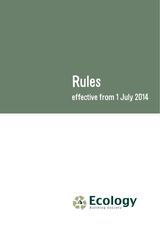# Rules effective from 1 July 2014

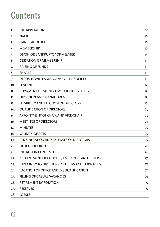### **Contents**

| 1.  | <b>INTERPRETATION</b>                           | 04 |
|-----|-------------------------------------------------|----|
| 2.  | <b>NAME</b>                                     | 10 |
| 3.  | PRINCIPAL OFFICE                                | 10 |
| 4.  | <b>MEMBERSHIP</b>                               | 10 |
| 5.  | DEATH OR BANKRUPTCY OF MEMBER                   | 13 |
| 6.  | <b>CESSATION OF MEMBERSHIP</b>                  | 13 |
| 7.  | RAISING OF FUNDS                                | 15 |
| 8.  | <b>SHARES</b>                                   | 15 |
| 9.  | DEPOSITS WITH AND LOANS TO THE SOCIETY          | 16 |
| 10. | LENDING                                         | 17 |
| 11. | REPAYMENT OF MONEY OWED TO THE SOCIETY          | 17 |
| 12. | DIRECTION AND MANAGEMENT                        | 17 |
| 13. | ELIGIBILITY AND ELECTION OF DIRECTORS           | 19 |
| 14. | <b>QUALIFICATION OF DIRECTORS</b>               | 23 |
| 15. | APPOINTMENT OF CHAIR AND VICE-CHAIR             | 23 |
| 16. | <b>MEETINGS OF DIRECTORS</b>                    | 24 |
| 17. | <b>MINUTES</b>                                  | 25 |
| 18. | <b>VALIDITY OF ACTS</b>                         | 25 |
| 19. | REMUNERATION AND EXPENSES OF DIRECTORS          | 25 |
| 20. | <b>OFFICES OF PROFIT</b>                        | 26 |
| 21. | <b>INTEREST IN CONTRACTS</b>                    | 26 |
| 22. | APPOINTMENT OF OFFICERS, EMPLOYEES AND OTHERS   | 27 |
| 23. | INDEMNITY TO DIRECTORS, OFFICERS AND EMPLOYEESS | 27 |
| 24. | VACATION OF OFFICE AND DISOUALIFICATION         | 27 |
| 25. | FILLING OF CASUAL VACANCIES                     | 29 |
| 26. | <b>RETIREMENT BY ROTATION</b>                   | 30 |
| 27. | <b>RESERVES</b>                                 | 30 |
| 28. | <b>LOSSES</b>                                   | 31 |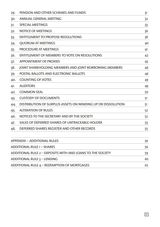| 29.   | PENSION AND OTHER SCHEMES AND FUNDS                         | 31 |
|-------|-------------------------------------------------------------|----|
| 30.   | ANNUAL GENERAL MEETING                                      | 32 |
| 31.   | <b>SPECIAL MEETINGS</b>                                     | 33 |
| 32.   | <b>NOTICE OF MEETINGS</b>                                   | 36 |
| 33.   | <b>ENTITLEMENT TO PROPOSE RESOLUTIONS</b>                   | 38 |
| 34.   | <b>OUORUM AT MEETINGS</b>                                   | 40 |
| $35-$ | PROCEDURE AT MEETINGS                                       | 41 |
| 36.   | ENTITLEMENT OF MEMBERS TO VOTE ON RESOLUTIONS               | 42 |
| 37.   | <b>APPOINTMENT OF PROXIES</b>                               | 45 |
| 38.   | JOINT SHAREHOLDING MEMBERS AND JOINT BORROWING MEMBERS      | 46 |
| 39.   | POSTAL BALLOTS AND ELECTRONIC BALLOTS                       | 46 |
| 40.   | <b>COUNTING OF VOTES</b>                                    | 49 |
| 41.   | <b>AUDITORS</b>                                             | 49 |
| 42.   | <b>COMMON SEAL</b>                                          | 50 |
| 43.   | <b>CUSTODY OF DOCUMENTS</b>                                 | 51 |
| 44.   | DISTRIBUTION OF SURPLUS ASSETS ON WINDING UP OR DISSOLUTION | 51 |
| 45.   | <b>ALTERATION OF RULES</b>                                  | 52 |
| 46.   | NOTICES TO THE SECRETARY AND BY THE SOCIETY                 | 52 |
| 47.   | SALES OF DEFERRED SHARES OF UNTRACEABLE HOLDER              | 53 |
| 48.   | DEFERRED SHARES REGISTER AND OTHER RECORDS                  | 55 |
|       | <b>APPENDIX - ADDITIONAL RULES</b>                          | 56 |
|       | ADDITIONAL RULE 1 - SHARES                                  | 56 |
|       | ADDITIONAL RULE 2 - DEPOSITS WITH AND LOANS TO THE SOCIETY  | 59 |
|       | ADDITIONAL RULE 3 - LENDING                                 | 60 |
|       | ADDITIONAL RULE 4 - REDEMPTION OF MORTGAGES                 | 62 |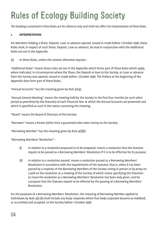## Rules of Ecology Building Society

*The headings contained in these Rules are for reference only and shall not affect the interpretation of these Rules.*

#### **1. INTERPRETATION**

For Members holding a Share, Deposit, Loan or advance opened, issued or made before 1 October 1998, these Rules shall, in respect of such Share, Deposit, Loan or advance, be read in conjunction with the Additional Rules set out in the Appendix.

(a) In these Rules, unless the context otherwise requires -

"Additional Rules" means those rules set out in the Appendix which forms part of these Rules which apply, where indicated, in circumstances where the Share, the Deposit or loan to the Society, or Loan or advance from the Society was opened, issued or made before 1 October 1998. The Preface at the beginning of the Appendix does form part of these Rules;

"Annual Accounts" has the meaning given by Rule 30(3);

"Annual General Meeting" means the meeting held by the Society in the first four months (or such other period as permitted by the Statutes) of each Financial Year at which the Annual Accounts are presented and which is specified as such in the notice convening the meeting;

"Board" means the Board of Directors of the Society;

"Borrower" means a Person (other than a guarantor) who owes money to the Society;

"Borrowing Member" has the meaning given by Rule  $4(1)(b)$ ;

"Borrowing Members' Resolution" -

- (i) in relation to a resolution proposed or to be proposed, means a resolution that the Statutes require to be passed as a Borrowing Members' Resolution if it is to be effective for its purpose,
- (ii) in relation to a resolution passed, means a resolution passed as a Borrowing Members' Resolution in accordance with the requirements of the Statutes, that is, when it has been passed by a majority of the Borrowing Members of the Society voting in person or by proxy on a poll on the resolution at a meeting of the Society of which notice specifying the intention to move the resolution as a Borrowing Members' Resolution has been duly given, and for a purpose that the Statutes require to be effected by the passing of a Borrowing Members' Resolution;

For the purposes of a Borrowing Members' Resolution, the meaning of Borrowing Member applied to Individuals by Rule 4(1) (b) shall include any body corporate where that body corporate became so indebted, or so entitled and accepted, to the Society before 1 October 1998;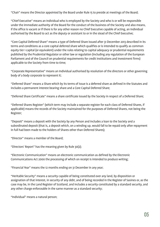"Chair" means the Director appointed by the Board under Rule 15 to preside at meetings of the Board;

"Chief Executive" means an Individual who is employed by the Society and who is or will be responsible under the immediate authority of the Board for the conduct of the business of the Society and also means, if the office is vacant or if there is for any other reason no Chief Executive capable of acting, an Individual authorised by the Board to act as the deputy or assistant to or in the stead of the Chief Executive;

"Core Capital Deferred Share" means a type of Deferred Share issued after 31 December 2013 described in its terms and conditions as a core capital deferred share which qualifies or is intended to qualify as common equity tier 1 capital (or equivalent) under the rules relating to capital adequacy or prudential requirements published by the Prudential Regulator or other law or regulation (including any regulation of the European Parliament and of the Council on prudential requirements for credit institutions and investment firms) applicable to the Society from time to time;

"Corporate Representative" means an Individual authorised by resolution of the directors or other governing body of a body corporate to represent it;

"Deferred Share" means a Share which by its terms of issue is a deferred share as defined in the Statutes and includes a permanent interest bearing share and a Core Capital Deferred Share;

"Deferred Share Certificate" means a share certificate issued by the Society in respect of a Deferred Share;

"Deferred Shares Register" (which term may include a separate register for each class of Deferred Shares, if applicable) means the records of the Society maintained for the purposes of Deferred Shares, not being the Register;

"Deposit" means a deposit with the Society by any Person and includes a loan to the Society and a subordinated deposit (that is, a deposit which, on a winding up, would fall to be repaid only after repayment in full had been made to the holders of Shares other than Deferred Shares);

"Director" means a member of the Board;

"Directors' Report" has the meaning given by Rule 30(2);

"Electronic Communication" means an electronic communication as defined by the Electronic Communications Act 2000 the processing of which on receipt is intended to produce writing;

"Financial Year" means the 12 months ending on 31 December in any year;

"Heritable Security" means a security capable of being constituted over any land, by disposition or assignation of that interest, in security of any debt, and of being recorded in the Register of Sasines or, as the case may be, in the Land Register of Scotland, and includes a security constituted by a standard security, and any other charge enforceable in the same manner as a standard security;

"Individual" means a natural person;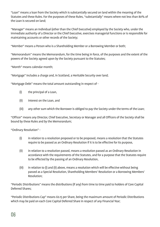"Loan" means a loan from the Society which is substantially secured on land within the meaning of the Statutes and these Rules. For the purposes of these Rules, "substantially" means where not less than 80% of the Loan is secured on land;

"Manager" means an Individual (other than the Chief Executive) employed by the Society who, under the immediate authority of a Director or the Chief Executive, exercises managerial functions or is responsible for maintaining accounts or other records of the Society;

"Member" means a Person who is a Shareholding Member or a Borrowing Member or both;

"Memorandum" means the Memorandum, for the time being in force, of the purposes and the extent of the powers of the Society agreed upon by the Society pursuant to the Statutes;

"Month" means calendar month;

"Mortgage" includes a charge and, in Scotland, a Heritable Security over land;

"Mortgage Debt" means the total amount outstanding in respect of -

- (i) the principal of a Loan,
- (ii) interest on the Loan, and
- (iii) any other sum which the Borrower is obliged to pay the Society under the terms of the Loan;

"Officer" means any Director, Chief Executive, Secretary or Manager and all Officers of the Society shall be bound by these Rules and by the Memorandum;

"Ordinary Resolution" -

- (i) in relation to a resolution proposed or to be proposed, means a resolution that the Statutes require to be passed as an Ordinary Resolution if it is to be effective for its purpose,
- (ii) in relation to a resolution passed, means a resolution passed as an Ordinary Resolution in accordance with the requirements of the Statutes, and for a purpose that the Statutes require to be effected by the passing of an Ordinary Resolution,
- (iii) in relation to (i) and (ii) above, means a resolution which will be effective without being passed as a Special Resolution, Shareholding Members' Resolution or a Borrowing Members' Resolution;

"Periodic Distributions" means the distributions (if any) from time to time paid to holders of Core Capital Deferred Shares;

"Periodic Distributions Cap" means £0.15 per Share, being the maximum amount of Periodic Distributions which may be paid on each Core Capital Deferred Share in respect of any Financial Year;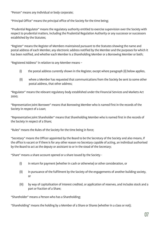"Person" means any Individual or body corporate;

"Principal Office" means the principal office of the Society for the time being;

"Prudential Regulator" means the regulatory authority entitled to exercise supervision over the Society with respect to prudential matters, including the Prudential Regulation Authority or any successor or successors established by the Statutes;

"Register" means the Register of Members maintained pursuant to the Statutes showing the name and postal address of each Member, any electronic address notified by the Member and the purposes for which it has been notified, and whether each Member is a Shareholding Member or a Borrowing Member or both;

"Registered Address" in relation to any Member means –

- (i) the postal address currently shown in the Register, except where paragraph (ii) below applies,
- (ii) where a Member has requested that communications from the Society be sent to some other postal address, that other address;

"Regulator" means the relevant regulatory body established under the Financial Services and Markets Act 2000;

"Representative Joint Borrower" means that Borrowing Member who is named first in the records of the Society in respect of a Loan;

"Representative Joint Shareholder" means that Shareholding Member who is named first in the records of the Society in respect of a Share;

"Rules" means the Rules of the Society for the time being in force;

"Secretary" means the Officer appointed by the Board to be the Secretary of the Society and also means, if the office is vacant or if there is for any other reason no Secretary capable of acting, an Individual authorised by the Board to act as the deputy or assistant to or in the stead of the Secretary;

"Share" means a share account opened or a share issued by the Society -

- (i) in return for payment (whether in cash or otherwise) or other consideration, or
- (ii) in pursuance of the fulfilment by the Society of the engagements of another building society, or
- (iii) by way of capitalisation of interest credited, or application of reserves, and includes stock and a part or fraction of a Share;

"Shareholder" means a Person who has a Shareholding;

"Shareholding" means the holding by a Member of a Share or Shares (whether in a class or not);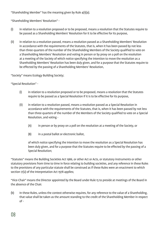"Shareholding Member" has the meaning given by Rule 4(1)(a);

"Shareholding Members' Resolution" -

- (i) in relation to a resolution proposed or to be proposed, means a resolution that the Statutes require to be passed as a Shareholding Members' Resolution for it to be effective for its purpose,
- (ii) in relation to a resolution passed, means a resolution passed as a Shareholding Members' Resolution in accordance with the requirements of the Statutes, that is, when it has been passed by not less than three-quarters of the number of the Shareholding Members of the Society qualified to vote on a Shareholding Members' Resolution and voting in person or by proxy on a poll on the resolution at a meeting of the Society of which notice specifying the intention to move the resolution as a Shareholding Members' Resolution has been duly given, and for a purpose that the Statutes require to be effected by the passing of a Shareholding Members' Resolution,

"Society" means Ecology Building Society;

"Special Resolution" -

- (i) in relation to a resolution proposed or to be proposed, means a resolution that the Statutes require to be passed as a Special Resolution if it is to be effective for its purpose,
- (ii) in relation to a resolution passed, means a resolution passed as a Special Resolution in accordance with the requirements of the Statutes, that is, when it has been passed by not less than three-quarters of the number of the Members of the Society qualified to vote on a Special Resolution, and voting -
	- (A) in person or by proxy on a poll on the resolution at a meeting of the Society, or
	- (B) in a postal ballot or electronic ballot,

 of which notice specifying the intention to move the resolution as a Special Resolution has been duly given, and for a purpose that the Statutes require to be effected by the passing of a Special Resolution;

"Statutes" means the Building Societies Act 1986, or other Act or Acts, or statutory instruments or other statutory provisions from time to time in force relating to building societies, and any reference in these Rules to the provisions of any particular statute shall be construed as if these Rules were an enactment to which section 17(2) of the Interpretation Act 1978 applies;

"Vice-Chair" means the Director appointed by the Board under Rule 15 to preside at meetings of the Board in the absence of the Chair.

(b) In these Rules, unless the context otherwise requires, for any reference to the value of a Shareholding, that value shall be taken as the amount standing to the credit of the Shareholding Member in respect  $of -$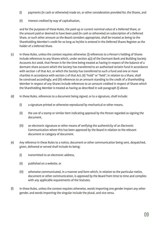- (i) payments (in cash or otherwise) made on, or other consideration provided for, the Shares, and
- (ii) interest credited by way of capitalisation,

 and for the purposes of these Rules, the paid-up or current nominal value of a Deferred Share, or the amount paid or deemed to have been paid (in cash or otherwise) on subscription of a Deferred Share, or such other amount as the Board considers appropriate, shall be treated as being to the Shareholding Member's credit for so long as he/she is entered in the Deferred Shares Register as the holder of a Deferred Share.

- (c) In these Rules, unless the context requires otherwise: (i) references to a Person's holding of Shares include references to any Shares which, under section 4(2) of the Dormant Bank and Building Society Accounts Act 2008, that Person is for the time being treated as having in respect of the balance of a dormant share account which the Society has transferred to an authorised reclaim fund in accordance with section 1 of that Act, or which the Society has transferred to such a fund and one or more charities in accordance with section 2 of that Act; (ii) "hold" or "held", in relation to a Share, shall be construed accordingly; and (iii) references to an amount standing to the credit of a Shareholding Member in respect of any Shares include references to an amount credited in respect of Shares which the Shareholding Member is treated as having as described in sub-paragraph (i) above.
- (d) In these Rules, references to a document being signed, or to a signature, shall include:
	- (i) a signature printed or otherwise reproduced by mechanical or other means,
	- (ii) the use of a stamp or similar item indicating approval by the Person regarded as signing the document,
	- (iii) an electronic signature or other means of verifying the authenticity of an Electronic Communication where this has been approved by the Board in relation to the relevant document or category of document.
- (e) Any reference in these Rules to a notice, document or other communication being sent, despatched, given, delivered or served shall include its being:
	- (i) transmitted to an electronic address,
	- (ii) published on a website, or
	- (iii) otherwise communicated, in a manner and form which, in relation to the particular notice, document or other communication, is approved by the Board from time to time and complies with any applicable requirements of the Statutes.
- (f) In these Rules, unless the context requires otherwise, words importing one gender import any other gender, and words importing the singular include the plural, and vice versa.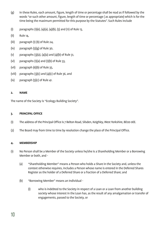- (g) In these Rules, each amount, figure, length of time or percentage shall be read as if followed by the words "or such other amount, figure, length of time or percentage ( as appropriate) which is for the time being the maximum permitted for this purpose by the Statutes". Such Rules include
- (i) paragraphs (1)(e), (4)(a), (4)(b), (5) and (11) of Rule 13,
- (ii) Rule 14,
- (iii) paragraph (1) (b) of Rule 24,
- (iv) paragraph (5)(g) of Rule 30,
- (v) paragraphs (3)(a), (4)(a) and (4)(b) of Rule 31,
- (vi) paragraphs (1)(a) and (1)(b) of Rule 33,
- (vii) paragraph (6)(b) of Rule 35,
- (viii) paragraphs  $(3)(c)$  and  $(4)(c)$  of Rule 36, and
- $(ix)$  paragraph  $(5)(c)$  of Rule 41.

#### **2. NAME**

The name of the Society is "Ecology Building Society".

#### **3. PRINCIPAL OFFICE**

- (1) The address of the Principal Office is 7 Belton Road, Silsden, Keighley, West Yorkshire, BD20 0EE.
- (2) The Board may from time to time by resolution change the place of the Principal Office.

#### **4. MEMBERSHIP**

- (1) No Person shall be a Member of the Society unless he/she is a Shareholding Member or a Borrowing Member or both, and -
	- (a) "Shareholding Member" means a Person who holds a Share in the Society and, unless the context otherwise requires, includes a Person whose name is entered in the Deferred Shares Register as the holder of a Deferred Share or a fraction of a Deferred Share; and
	- (b) "Borrowing Member" means an Individual
		- (i) who is indebted to the Society in respect of a Loan or a Loan from another building society whose interest in the Loan has, as the result of any amalgamation or transfer of engagements, passed to the Society, or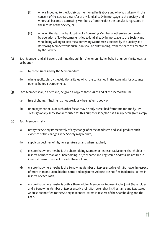- (ii) who is indebted to the Society as mentioned in (i) above and who has taken with the consent of the Society a transfer of any land already in mortgage to the Society, and who shall become a Borrowing Member as from the date the transfer is registered in the records of the Society, or
- (iii) who, on the death or bankruptcy of a Borrowing Member or otherwise on transfer by operation of law becomes entitled to land already in mortgage to the Society and who (being willing to become a Borrowing Member) is accepted by the Society as a Borrowing Member while such Loan shall be outstanding, from the date of acceptance by the Society.
- (2) Each Member, and all Persons claiming through him/her or on his/her behalf or under the Rules, shall be bound -
	- (a) by these Rules and by the Memorandum.
	- (b) where applicable, by the Additional Rules which are contained in the Appendix for accounts opened before 1 October 1998.
- (3) Each Member shall, on demand, be given a copy of these Rules and of the Memorandum
	- (a) free of charge, if he/she has not previously been given a copy, or
	- (b) upon payment of £1, or such other fee as may be duly prescribed from time to time by HM Treasury (or any successor authorised for this purpose), if he/she has already been given a copy.
- (4) Each Member shall
	- (a) notify the Society immediately of any change of name or address and shall produce such evidence of the change as the Society may require,
	- (b) supply a specimen of his/her signature as and when required,
	- (c) ensure that where he/she is the Shareholding Member or Representative Joint Shareholder in respect of more than one Shareholding, his/her name and Registered Address are notified in identical terms in respect of each Shareholding,
	- (d) ensure that where he/she is the Borrowing Member or Representative Joint Borrower in respect of more than one Loan, his/her name and Registered Address are notified in identical terms in respect of each Loan,
	- (e) ensure that where he/she is both a Shareholding Member or Representative Joint Shareholder and a Borrowing Member or Representative Joint Borrower, that his/her name and Registered Address are notified to the Society in identical terms in respect of the Shareholding and the Loan.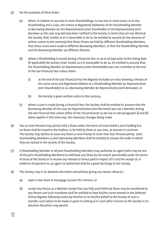- (5) For the purposes of these Rules
	- (a) where, in relation to any two or more Shareholdings, to any two or more Loans, or to any Shareholding and a Loan, the names or Registered Addresses of the Shareholding Member or Borrowing Member (or the Representative Joint Shareholder or the Representative Joint Borrower as the case may be) have been notified to the Society in terms that are not identical the Society shall, insofar as it is reasonable to do so, be entitled to assume (in the absence of written notice to the contrary) that those Shares are held by different Shareholding Members, that those Loans were made to different Borrowing Members, or that the Shareholding Member and the Borrowing Member are different Persons,
	- (b) where a Shareholding is issued during a Financial Year or up to 56 days prior to the voting date (if applicable) the Society shall, insofar as it is reasonable to do so, be entitled to assume that the Shareholding Member (or Representative Joint Shareholder) was not a member at the end of the last Financial Year unless either -
		- (i) at the end of the last Financial Year the Register included an entry showing a Person of the same name and Registered Address as a Shareholding Member (or Representative Joint Shareholder) or as a Borrowing Member (or Representative Joint Borrower), or
		- (ii) the Society is given written notice to the contrary,
	- (c) where a Loan is made during a Financial Year, the Society shall be entitled to assume that the Borrowing Member of the Loan (or Representative Joint Borrower) was not a Member during the last Financial Year unless either of the circumstances as set out in sub-paragraphs (i) and (ii) above applies in the same way, the necessary changes being made.
- (6) Two or more Persons may jointly hold a Share unless the terms of issue forbid a joint holding but no Share shall be issued to the holders, or be held by them at any time, as tenants in common. The Society may decline to issue any Share or lend money to more than four Persons jointly. Joint Shareholding Members or joint Borrowing Members shall be entitled to choose the order in which they are named in the records of the Society.
- (7) A Shareholding Member or all joint Shareholding Members may authorise an agent (who may be one of the joint Shareholding Members) to withdraw any Share (to the extent permissible under the terms of issue of the Share) or to receive any interest or bonus paid in respect of it and the receipt of, or evidence of payment to, an agent so authorised shall be a good discharge to the Society.
- (8) The Society may in its absolute discretion and without giving any reason refuse to
	- (a) open a new share or mortgage account for a Person, or
	- (b) accept any Person as a Member except that any fully-paid Deferred Share may be transferred to any Person and such transferee shall be entitled to have his/her name entered in the Deferred Shares Register following notice by him/her or on his/her behalf to the Society of such a transfer, such notice to be made or given in writing or in such other manner as the Society in its absolute discretion may permit.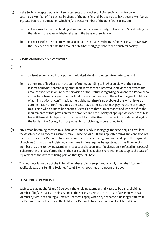- (9) If the Society accepts a transfer of engagements of any other building society, any Person who becomes a Member of the Society by virtue of the transfer shall be deemed to have been a Member at any date before the transfer on which he/she was a member of the transferor society and -
	- (a) in the case of a member holding shares in the transferor society, to have had a Shareholding on that date to the value of his/her shares in the transferor society, or
	- (b) in the case of a member to whom a loan has been made by the transferor society, to have owed the Society on that date the amount of his/her mortgage debt to the transferor society.

#### **5. DEATH OR BANKRUPTCY OF MEMBER**

- $(1)$  If -
	- (a) a Member domiciled in any part of the United Kingdom dies testate or intestate, and
	- (b) at the time of his/her death the sum of money standing to his/her credit with the Society in respect of his/her Shareholding other than in respect of a Deferred Share does not exceed the amount specified in or under the provision of the Statutes\* regarding payment to a Person who claims to be beneficially entitled without the grant of probate of the will or the grant of letters of administration or confirmation, then, although there is no probate of the will or letters of administration or confirmation, as the case may be, the Society may pay that sum of money to a Person who claims to be beneficially entitled to that sum of money and who satisfies the requirements of that provision for the production to the Society of appropriate evidence of his/ her entitlement. Such payment shall be valid and effective with respect to any demand against the funds of the Society from any other Person claiming to be entitled to it.
- (2) Any Person becoming entitled to a Share or to land already in mortgage to the Society as a result of the death or bankruptcy of a Member may, subject to Rule 4(8) the applicable terms and conditions of issue in the case of a Deferred Share and upon such evidence being produced and upon the payment of such fee (if any) as the Society may from time to time require, be registered as the Shareholding Member or as the Borrowing Member in respect of the Loan and, if registration is refused in respect of a Share (other than a Deferred Share), the Society shall repay that Share with interest up to the date of repayment at the rate then being paid on that type of Share.
- \* This footnote is not part of the Rules. When these rules were printed on 1 July 2014, the "Statutes" applicable was the Building Societies Act 1986 which specified an amount of £5,000

#### **6. CESSATION OF MEMBERSHIP**

(1) Subject to paragraphs (2) and (3) below, a Shareholding Member shall cease to be a Shareholding Member if he/she ceases to hold a Share in the Society or, which, in the case of a Person who is a Member by virtue of holding a Deferred Share, will apply when his/her name is no longer entered in the Deferred Shares Register as the holder of a Deferred Share or a fraction of a Deferred Share.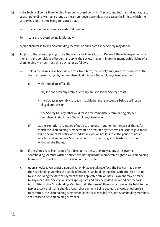- (2) If the Society allows a Shareholding Member to overdraw on his/her account, he/she shall not cease to be a Shareholding Member so long as the amount overdrawn does not exceed the limit to which the Society has for the time being consented but, if -
	- (a) the amount overdrawn exceeds that limit, or
	- (b) consent to overdrawing is withdrawn,

he/she shall cease to be a Shareholding Member on such date as the Society may decide.

- (3) Subject to the terms applying to the Share and save in relation to a Deferred Share (in respect of which the terms and conditions of issue shall apply), the Society may terminate the membership rights of a Shareholding Member, not being a Director, as follows:
	- (a) unless the Shares have been issued for a fixed term, the Society may give written notice to the Member, terminating his/her membership rights as a Shareholding Member, either:
		- (i) with immediate effect if:
			- he/she has been physically or verbally abusive to the Society's staff,
			- the Society reasonably suspects that his/her share account is being used for an illegal purpose, or
			- the Society has any other valid reason for immediately terminating his/her membership rights as a Shareholding Member, or
		- (ii) at the expiration of a period of not less than one month or (in the case of Shares for which the Shareholding Member would be required by the terms of issue to give more than one month's notice of withdrawal) a period not less than the period of notice which the Shareholding Member would be required to give of his/her intention to withdraw the Shares.
	- (b) if the Shares have been issued for a fixed term, the Society may at any time give the Shareholding Member written notice terminating his/her membership rights as a Shareholding Member with effect from the expiration of the fixed term,
	- (c) upon a notice given under paragraph (a) or (b) above taking effect, the Society may pay to the Shareholding Member the whole of his/her Shareholding together with interest on it, up to and including the date of payment at the applicable rate or rates. Payment may be made by any means the Society considers appropriate and may be posted, delivered or otherwise transmitted to the Shareholding Member or (in the case of Shares which are jointly held) to the Representative Joint Shareholder. Upon that payment being posted, delivered or otherwise transmitted, the Shareholding Member or (as the case may be) the joint Shareholding Members shall cease to be Shareholding Members.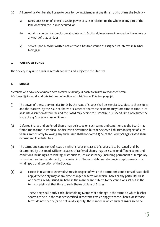- (4) A Borrowing Member shall cease to be a Borrowing Member at any time if at that time the Society
	- (a) takes possession of, or exercises its power of sale in relation to, the whole or any part of the land on which the Loan is secured, or
	- (b) obtains an order for foreclosure absolute or, in Scotland, foreclosure in respect of the whole or any part of that land, or
	- (c) serves upon him/her written notice that it has transferred or assigned its interest in his/her Mortgage.

#### **7. RAISING OF FUNDS**

The Society may raise funds in accordance with and subject to the Statutes.

#### **8. SHARES**

*Members who have one or more Share accounts currently in existence which were opened before 1 October 1998 should read this Rule in conjunction with Additional Rule 1 on page 56.*

- (1) The power of the Society to raise funds by the issue of Shares shall be exercised, subject to these Rules and the Statutes, by the issue of Shares or classes of Shares as the Board may from time to time in its absolute discretion determine and the Board may decide to discontinue, suspend, limit or resume the issue of any Shares or class of Shares.
- (2) Deferred Shares and preferred Shares may be issued on such terms and conditions as the Board may from time to time in its absolute discretion determine, but the Society's liabilities in respect of such Shares immediately following any such issue shall not exceed 25 % of the Society's aggregated share, deposit and loan liabilities.
- (3) The terms and conditions of issue on which Shares or classes of Shares are to be issued shall be determined by the Board. Different classes of Deferred Shares may be issued on different terms and conditions including as to ranking, distributions, loss absorbency (including permanent or temporary write-down and re-instatement), conversion into Shares or debt and sharing in surplus assets on a winding-up or dissolution of the Society.
- (4) (a) Except in relation to Deferred Shares (in respect of which the terms and conditions of issue shall apply) the Society may at any time change the terms on which Shares or any particular class of Shares already issued are held, in the manner and subject to the conditions set out in the terms applying at that time to such Shares or class of Shares.

 The Society shall notify each Shareholding Member of a change in the terms on which his/her Shares are held in the manner specified in the terms which apply to those Shares, or, if those terms do not specify (or do not validly specify) the manner in which such changes are to be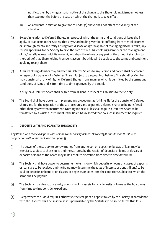notified, then by giving personal notice of the change to the Shareholding Member not less than two months before the date on which the change is to take effect.

- (b) An accidental omission to give notice under (a) above shall not affect the validity of the alteration.
- (5) Except in relation to Deferred Shares, in respect of which the terms and conditions of issue shall apply, of it appears to the Society that any Shareholding Member is suffering from mental disorder or is through mental infirmity arising from disease or age incapable of managing his/her affairs, any Person appearing to the Society to have the care of such Shareholding Member or the management of his/her affairs may, with its consent, withdraw the whole or any part of the amount standing to the credit of that Shareholding Member's account but this will be subject to the terms and conditions applying to any Share.
- (6) A Shareholding Member may transfer his Deferred Shares to any Person and no fee shall be charged in respect of a transfer of a Deferred Share. Subject to paragraph (7) below, a Shareholding Member may transfer all or any of his/her Deferred Shares in any manner which is permitted by the terms and conditions of issue and is from time to time approved by the Board.

A fully-paid Deferred Share shall be free from all liens in respect of liabilities to the Society.

(7) The Board shall have power to implement any procedures as it thinks fit for the transfer of Deferred Shares and for the regulation of those procedures and to permit Deferred Shares to be transferred other than by a written instrument. Nothing in these Rules shall require a Deferred Share to be transferred by a written instrument if the Board has resolved that no such instrument be required.

#### **9. DEPOSITS WITH AND LOANS TO THE SOCIETY**

*Any Person who made a deposit with or loan to the Society before 1 October 1998 should read this Rule in conjunction with Additional Rule 2 on page 59.*

- (1) The power of the Society to borrow money from any Person on deposit or by way of loan may be exercised, subject to these Rules and the Statutes, by the receipt of deposits or loans or classes of deposits or loans as the Board may in its absolute discretion from time to time determine.
- (2) The Society shall have power to determine the terms on which deposits or loans or classes of deposits or loans are to be received and the Board may determine the rates of interest or bonus (if any) to be paid on deposits or loans or on classes of deposits or loans, and the conditions subject to which the same shall be payable.
- (3) The Society may give such security upon any of its assets for any deposits or loans as the Board may from time to time consider expedient.
- (4) Except where the Board requires otherwise, the receipt of a deposit taken by the Society in accordance with the Statutes shall be, insofar as it is permissible by the Statutes to do so, on terms that Rule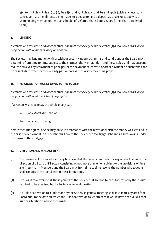$4(4)$  to (7), Rule 5, Rule 6(1) to (3), Rule 8(4) and (5), Rule 12(5) and Rule 46 apply (with any necessary consequential amendments being made) to a depositor and a deposit as those Rules apply to a Shareholding Member (other than a holder of Deferred Shares) and a Share (other than a Deferred Share).

#### **10. LENDING**

*Members who received an advance or other Loan from the Society before 1 October 1998 should read this Rule in conjunction with Additional Rule 3 on page 60.*

The Society may lend money, with or without security, upon such terms and conditions as the Board may determine from time to time, subject to the Statutes, the Memorandum and these Rules, and may suspend, reduce or waive any repayment of principal, or the payment of interest, or other payment on such terms and from such date (whether then already past or not) as the Society may think proper.

#### **11. REPAYMENT OF MONEY OWED TO THE SOCIETY**

*Members who received an advance or other Loan from the Society before 1 October 1998 should read this Rule in conjunction with Additional Rule 4 on page 62.*

If a Person wishes to repay the whole or any part -

- (a) of a Mortgage Debt, or
- (b) of any sum owing,

before the time agreed, he/she may do so in accordance with the terms on which the money was lent and in the case of a repayment in full he/she shall pay to the Society the Mortgage Debt and all sums owing under the terms of the mortgage.

#### **12. DIRECTION AND MANAGEMENT**

- (1) The business of the Society and any business that the Society proposes to carry on shall be under the direction of a Board of Directors consisting of not more than 9 nor (subject to the provisions of Rule 25(6)) less than 5 Members and the Board may from time to time resolve the number who together shall constitute the Board within these limitations.
- (2) The Board may exercise all those powers of the Society that are not, by the Statutes or by these Rules, required to be exercised by the Society in general meeting.
- (3) No Rule or alteration to a Rule made by the Society in general meeting shall invalidate any act of the Board prior to the date on which the Rule or alteration takes effect that would have been valid if that Rule or alteration had not been made.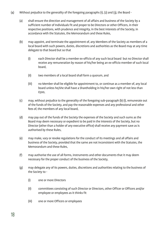- (4) Without prejudice to the generality of the foregoing paragraphs (1), (2) and (3), the Board
	- (a) shall ensure the direction and management of all affairs and business of the Society by a sufficient number of Individuals fit and proper to be Directors or other Officers, in their respective positions, with prudence and integrity, in the best interests of the Society, in accordance with the Statutes, the Memorandum and these Rules,
	- (b) may appoint, and terminate the appointment of, any Members of the Society as members of a local board with such powers, duties, discretions and authorities as the Board may at any time delegate to that board but so that
		- (i) each Director shall be a member ex-officio of any such local board but no Director shall receive any remuneration by reason of his/her being an ex-officio member of such local board,
		- (ii) two members of a local board shall form a quorum, and
		- (iii) no Member shall be eligible for appointment to, or continue as a member of, any local board unless he/she shall have a Shareholding in his/her own right of not less than £500,
	- (c) may, without prejudice to the generality of the foregoing sub-paragraph (b) (i), remunerate out of the funds of the Society, and pay the reasonable expenses and any professional and other fees of, the members of any local board,
	- (d) may pay out of the funds of the Society the expenses of the Society and such sums as the Board may deem necessary or expedient to be paid in the interests of the Society, but no Director (other than a holder of any executive office) shall receive any payment save as is authorised by these Rules,
	- (e) may make, vary or revoke regulations for the conduct of its meetings and all affairs and business of the Society, provided that the same are not inconsistent with the Statutes, the Memorandum and these Rules,
	- (f) may authorise the use of all forms, instruments and other documents that it may deem necessary for the proper conduct of the business of the Society,
	- (g) may delegate any of its powers, duties, discretions and authorities relating to the business of the Society to -
		- (i) one or more Directors
		- (ii) committees consisting of such Director or Directors, other Officer or Officers and/or employee or employees as it thinks fit
		- (iii) one or more Officers or employees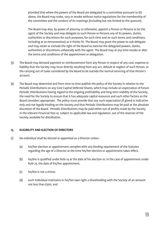provided that where the powers of the Board are delegated to a committee pursuant to (ii) above, the Board may make, vary or revoke without notice regulations for the membership of the committee and the conduct of its meetings (including but not limited to the quorum).

 The Board may also, by power of attorney or otherwise, appoint a Person or Persons to be the agent of the Society and may delegate to such Person or Persons any of its powers, duties, authorities or discretions for such purposes, for such time and on such terms and conditions, including as to remuneration) as it thinks fit. The Board may grant the power to sub-delegate and may retain or exclude the right of the Board to exercise the delegated powers, duties, authorities or discretions collaterally with the agent. The Board may at any time revoke or alter the terms and conditions of the appointment or delegation.

- (5) The Board may demand payment or reimbursement from any Person in respect of any cost, expense or liability that the Society may incur directly resulting from any act, default or neglect of such Person, or the carrying out of tasks considered by the Board to be outside the normal servicing of that Person's account.
- (6) The Board may determine and from time to time publish the policy of the Society in relation to the Periodic Distributions on any Core Capital Deferred Shares, which may include an expectation of future Periodic Distributions having regard to the ongoing profitability and long term viability of the Society, the need for the Society to ensure that it has adequate capital resources and such other factors as the Board considers appropriate. The policy must provide that any such expectation (if given) is indicative only and not legally binding on the Society and that Periodic Distributions may be paid at the absolute discretion of the Board. Periodic Distributions may be paid either out of profits made by the Society in the relevant Financial Year or, subject to applicable law and regulation, out of the reserves of the Society available for distribution.

#### **13. ELIGIBILITY AND ELECTION OF DIRECTORS**

- (1) No Individual shall be elected or appointed as a Director unless
	- (a) his/her election or appointment complies with any binding requirement of the Statutes regarding the age of a Director at the time his/her election or appointment takes effect,
	- (b) he/she is qualified under Rule 14 at the date of his election or, in the case of appointment under Rule 25, the date of his/her appointment,
	- (c) he/she is not a minor,
	- (d) such Individual maintains in his/her own right a Shareholding with the Society of an amount not less than £500, and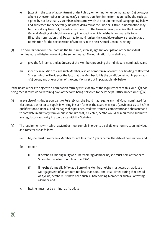- (e) (except in the case of appointment under Rule 25, or nomination under paragraph (12) below, or where a Director retires under Rule 26), a nomination form in the form required by the Society, signed by not less than 25 Members who comply with the requirements of paragraph (4) below and addressed to the Secretary, has been delivered at the Principal Office. A nomination may be made at any time but, if made after the end of the Financial Year preceding the Annual General Meeting at which the vacancy in respect of which he/she is nominated is to be filled, the nomination shall be carried forward (unless the candidate otherwise requires) as a nomination for the next election of Directors at the next Annual General Meeting.
- (2) The nomination form shall contain the full name, address, age and occupation of the Individual nominated, and his/her consent to be so nominated. The nomination form shall also:
	- (a) give the full names and addresses of the Members proposing the Individual's nomination, and
	- (b) identify, in relation to each such Member, a share or mortgage account, or a holding of Deferred Shares, which will evidence the fact that the Member fulfils the condition set out in paragraph 4(a) below, and one or other of the conditions set out in paragraph 4(b) below.

If the Board wishes to object to a nomination form by virtue of any of the requirements of this Rule 13(2) not being met, it must do so within 14 days of the form being delivered to the Principal Office under Rule 13(1)(e).

- (3) In exercise of its duties pursuant to Rule 12(4)(a), the Board may require any Individual nominated for election as a Director to supply in writing in such form as the Board may specify, evidence as to his/her qualifications, financial and managerial experience, creditworthiness, competence and character and to complete in draft any form or questionnaire that, if elected, he/she would be required to submit to any regulatory authority in accordance with the Statutes.
- (4) The requirements with which a Member must comply in order to be eligible to nominate an Individual as a Director are as follows -
	- (a) he/she must have been a Member for not less than 2 years before the date of nomination, and
	- (b) either
		- (i) if he/she claims eligibility as a Shareholding Member, he/she must hold at that date Shares to the value of not less than £200, or
		- (ii) if he/she claims eligibility as a Borrowing Member, he/she must owe at that date a Mortgage Debt of an amount not less than £200, and, at all times during that period of 2 years, he/she must have been such a Shareholding Member or such a Borrowing Member, and
	- (c) he/she must not be a minor at that date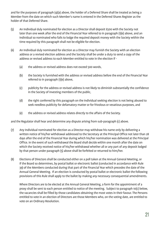and for the purposes of paragraph (4)(a) above, the holder of a Deferred Share shall be treated as being a Member from the date on which such Member's name is entered in the Deferred Shares Register as the holder of that Deferred Share.

- (5) An Individual duly nominated for election as a Director shall deposit £500 with the Society not later than one week after the end of the Financial Year referred to in paragraph (1)(e) above, and an Individual so nominated who fails to lodge the required deposit money with the Society within the time required by this paragraph shall not be eligible for election.
- (6) An Individual duly nominated for election as a Director may furnish the Society with an election address or a revised election address and the Society shall be under a duty to send a copy of the address or revised address to each Member entitled to vote in the election if -
	- (a) the address or revised address does not exceed 500 words,
	- (b) the Society is furnished with the address or revised address before the end of the Financial Year referred to in paragraph (1)(e) above,
	- (c) publicity for the address or revised address is not likely to diminish substantially the confidence in the Society of investing members of the public,
	- (d) the right conferred by this paragraph on the Individual seeking election is not being abused to seek needless publicity for defamatory matter or for frivolous or vexatious purposes, and
	- (e) the address or revised address relates directly to the affairs of the Society.

and the Regulator shall hear and determine any dispute arising from sub-paragraph (c) above.

- (7) Any Individual nominated for election as a Director may withdraw his name only by delivering a written notice of his/her withdrawal addressed to the Secretary at the Principal Office not later than 28 days after the end of the Financial Year during which his/her nomination was delivered at the Principal Office. In the event of such withdrawal the Board shall decide within one month after the date on which the Society received notice of his/her withdrawal whether all or any part of any deposit lodged by that person under paragraph (5) above shall be forfeited or returned to him/her.
- (8) Elections of Directors shall be conducted either on a poll taken at the Annual General Meeting, or if the Board so determines, by postal ballot or electronic ballot (conducted in accordance with Rule 39) of the Members conducted during that part of the Financial Year which precedes the date of the Annual General Meeting. If an election is conducted by postal ballot or electronic ballot the following provisions of this Rule shall apply to the ballot by making any necessary consequential amendments.

 Where Directors are to be elected at the Annual General Meeting, a form for the appointment of a proxy shall be sent to each person entitled to notice of the meeting. Subject to paragraph 10(c) below, the vacancies shall be filled by those candidates obtaining the most votes in their favour. The Persons entitled to vote in an election of Directors are those Members who, on the voting date, are entitled to vote on an Ordinary Resolution.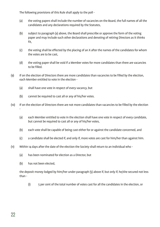The following provisions of this Rule shall apply to the poll -

- (a) the voting papers shall include the number of vacancies on the Board, the full names of all the candidates and any declarations required by the Statutes,
- (b) subject to paragraph (a) above, the Board shall prescribe or approve the form of the voting paper and may include such other declarations and denoting of retiring Directors as it thinks fit,
- (c) the voting shall be effected by the placing of an X after the names of the candidates for whom the votes are to be cast,
- (d) the voting paper shall be void if a Member votes for more candidates than there are vacancies to be filled.
- (9) If on the election of Directors there are more candidates than vacancies to be filled by the election, each Member entitled to vote in the election -
	- (a) shall have one vote in respect of every vacancy, but
	- (b) cannot be required to cast all or any of his/her votes.
- (10) If on the election of Directors there are not more candidates than vacancies to be filled by the election -
	- (a) each Member entitled to vote in the election shall have one vote in respect of every candidate, but cannot be required to cast all or any of his/her votes,
	- (b) each vote shall be capable of being cast either for or against the candidate concerned, and
	- (c) a candidate shall be elected if, and only if, more votes are cast for him/her than against him.
- (11) Within 14 days after the date of the election the Society shall return to an Individual who
	- (a) has been nominated for election as a Director, but
	- (b) has not been elected,

 the deposit money lodged by him/her under paragraph (5) above if, but only if, he/she secured not less than -

(i) 5 per cent of the total number of votes cast for all the candidates in the election, or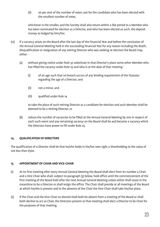(ii) 20 per cent of the number of votes cast for the candidate who has been elected with the smallest number of votes,

 whichever is the smaller, and the Society shall also return within a like period to a Member who has been nominated for election as a Director, and who has been elected as such, the deposit money so lodged by him/her.

- (12) If a vacancy arises on the Board after the last day of the Financial Year and before the conclusion of the Annual General Meeting held in the succeeding Financial Year for any reason including the death, disqualification or resignation of any retiring Director who was seeking re-election the Board may either -
	- (a) without giving notice under Rule 32 substitute in that Director's place some other Member who has filled the vacancy under Rule 25 and who is at the date of that meeting -
		- (i) of an age such that no breach occurs of any binding requirement of the Statutes regarding the age of a Director, and
		- (ii) not a minor, and
		- (iii) qualified under Rule 14

 to take the place of such retiring Director as a candidate for election and such Member shall be deemed to be a retiring Director, or

(b) reduce the number of vacancies to be filled at the Annual General Meeting by one in respect of each such event and any remaining vacancy on the Board shall be and become a vacancy which the Directors have power to fill under Rule 25.

#### **14. QUALIFICATION OF DIRECTORS**

The qualification of a Director shall be that he/she holds in his/her own right a Shareholding to the value of not less than £500.

#### **15. APPOINTMENT OF CHAIR AND VICE-CHAIR**

- (1) At its first meeting after every Annual General Meeting the Board shall elect from its number a Chair and a Vice-Chair who shall, subject to paragraph (3) below, hold office until the commencement of the first meeting of the Board held after the next Annual General Meeting unless either shall cease in the meantime to be a Director or shall resign the office. The Chair shall preside at all meetings of the Board at which he/she is present and in the absence of the Chair the Vice-Chair shall take his/her place.
- (2) If the Chair and the Vice-Chair so elected shall both be absent from a meeting of the Board or shall both decline to act as Chair, the Directors present at that meeting shall elect a Director to be Chair for the purposes of that meeting.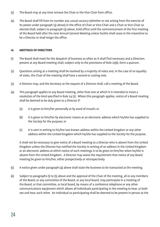- (3) The Board may at any time remove the Chair or the Vice-Chair from office.
- (4) The Board shall fill from its number any casual vacancy (whether or not arising from the exercise of its power under paragraph (3) above) in the office of Chair or Vice-Chair and a Chair or Vice-Chair so elected shall, subject to paragraph (3) above, hold office until the commencement of the first meeting of the Board held after the next Annual General Meeting unless he/she shall cease in the meantime to be a Director or shall resign the office.

#### **16. MEETINGS OF DIRECTORS**

- (1) The Board shall meet for the despatch of business as often as it shall find necessary and 4 Directors present at any Board meeting shall, subject only to the provisions of Rule 25(6), form a quorum.
- (2) Questions arising at a meeting shall be resolved by a majority of votes and, in the case of an equality of votes, the Chair of the meeting shall have a second or casting vote.
- (3) A Director may, and the Secretary at the request of a Director shall, call a meeting of the Board.
- (4) This paragraph applies to any Board meeting, other than one at which it is intended to move a resolution of the kind specified in Rule 24 (2). Where this paragraph applies, notice of a Board meeting shall be deemed to be duly given to a Director if:
	- (a) it is given to him/her personally or by word of mouth; or
	- (b) it is given to him/her by electronic means at an electronic address which he/she has supplied to the Society for the purpose; or
	- (c) it is sent in writing to his/her last known address within the United Kingdom or any other address within the United Kingdom which he/she has supplied to the Society for the purpose.

 It shall not be necessary to give notice of a Board meeting to a Director who is absent from the United Kingdom unless the Director has notified the Society in writing of an address in the United Kingdom or an electronic address at which notice of such meetings is to be given to him/her when he/she is absent from the United Kingdom. A Director may waive the requirement that notice of any Board meeting be given to him/her, either prospectively or retrospectively.

- (5) A notice given under paragraph (4) above shall state the business to be transacted at the meeting.
- (6) Subject to paragraphs (1) to (5) above and the approval of the Chair of the meeting, all or any members of the Board, or any committee of the Board, or any local board, may participate in a meeting of the Board, or that committee, or local board, by means of a conference telephone or any other communications equipment which allows all Individuals participating in the meeting to hear, or both see and hear, each other. An Individual so participating shall be deemed to be present in person at the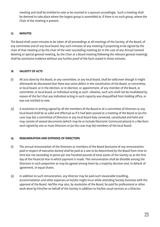meeting and shall be entitled to vote or be counted in a quorum accordingly. Such a meeting shall be deemed to take place where the largest group is assembled or, if there is no such group, where the Chair of the meeting is present.

#### **17. MINUTES**

The Board shall cause minutes to be taken of all proceedings at all meetings of the Society, of the Board, of any committee and of any local board. Any such minutes of any meeting if purporting to be signed by the chair of that meeting or by the chair of the next succeeding meeting (or in the case of any Annual General Meeting or special general meeting, by the Chair at a Board meeting following the relevant general meeting) shall be conclusive evidence without any further proof of the facts stated in those minutes.

#### **18. VALIDITY OF ACTS**

- (1) All acts done by the Board, or any committee, or any local board, shall be valid even though it might afterwards be discovered that there was some defect in the constitution of the Board, or committee, or local board, or in the election, or re-election, or appointment, of any member of the Board, or committee, or local board, or Individual acting as such. Likewise, such acts shall not be invalidated by reason of the fact that any Individual acting in such capacity was disqualified from holding office, or was not entitled to vote.
- (2) A resolution in writing signed by all the members of the Board or of a committee of Directors or any local board shall be as valid and effectual as if it had been passed at a meeting of the Board or (as the case may be) a committee of Directors or any local board duly convened, constituted and held and may consist of several documents (which may be or include Electronic Communications) in a like form each signed by one or more Directors or (as the case may be) members of the local board.

#### **19. REMUNERATION AND EXPENSES OF DIRECTORS**

- (1) The annual remuneration of the Directors as members of the Board (exclusive of any remuneration paid in respect of executive duties) shall be paid at a rate to be determined by the Board from time to time but not exceeding 10 pence per one hundred pounds of total assets of the Society as at the first day of the Financial Year in which payment is made. This remuneration shall be divisible among the Directors in such proportion as may be agreed among them by a majority decision and, in default of agreement, in equal shares.
- (2) In addition to such remuneration, any Director may be paid such reasonable travelling, accommodation and other expenses as he/she might incur while attending Society business with the approval of the Board. He/She may also, by resolution of the Board, be paid for professional or other work done by him/her on behalf of the Society in addition to his/her usual services as a Director.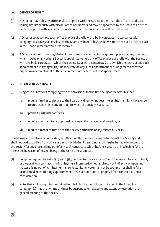#### **20. OFFICES OF PROFIT**

- (1) A Director may hold any office or place of profit with the Society (other than the office of auditor or valuer) simultaneously with his/her office of Director and may be appointed by the Board to an office or place of profit with any body corporate in which the Society is, or will be, interested.
- (2) A Director so appointed to an office or place of profit with a body corporate in accordance with paragraph (1) above shall disclose to the Board any benefit he/she derives from any such office or place in the Financial Year in which it is received.
- (3) A Director, notwithstanding his/her interest, may be counted in the quorum present at any meeting at which he/she or any other Director is appointed to hold any office or place of profit with the Society or with any body corporate in which the Society is, or will be, interested or at which the terms of any such appointment are arranged. He/She may vote on any such appointment or arrangement other than his/her own appointment or the arrangement of the terms of that appointment.

#### **21. INTEREST IN CONTRACTS**

- (1) Subject to a Director's complying with the provisions for the time being of the Statutes that
	- (a) require him/her to declare to the Board any direct or indirect interest he/she might have, or be treated as having in any contract to which the Society is a party,
	- (b) prohibit particular contracts,
	- (c) require a contract to be approved by a resolution of a general meeting, or
	- (d) require him/her to furnish to the Society particulars of any related business.

he/she may enter into or be interested, whether directly or indirectly, in contracts with the Society and shall not be disqualified from office as a result of his/her interest, nor shall he/she be liable to account to the Society for any profit arising out of any such contract to which he/she is a party or in which he/she is interested by reason of his/her being at the same time a Director.

- (2) Except as required by Rules 19(1) and 29(5), no Director may vote as a Director in regard to any contract, or proposal for a contract, in which he/she is interested, whether directly or indirectly, or upon any matter arising out of it. If he/she shall so vote, his/her vote shall not be counted nor shall he/she be reckoned in estimating a quorum when any such contract, or proposal for a contract, is under consideration.
- (3) Notwithstanding anything contained in this Rule, the prohibition contained in the foregoing paragraph (2) may at any time or times be suspended or relaxed to any extent by resolution at a general meeting of the Society.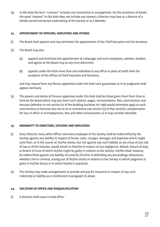(4) In this Rule the term "contract" includes any transaction or arrangement. For the avoidance of doubt, the word "interest" in this Rule does not include any interest a Director may have as a director of a wholly owned connected undertaking of the Society or as a Member.

#### **22. APPOINTMENT OF OFFICERS, EMPLOYEES AND OTHERS**

- (1) The Board shall appoint and may terminate the appointment of the Chief Executive and the Secretary.
- (2) The Board may also
	- (a) appoint and terminate the appointment of a Manager and such employees, advisers, bankers and agents as the Board may at any time determine.
	- (b) appoint under this Rule more than one Individual to any office or place of profit with the exception of the offices of Chief Executive and Secretary,

 and may require from any Person appointed under this Rule such guarantees as in its judgment shall appear necessary.

(3) The powers and duties of Persons appointed under this Rule shall be those given them from time to time by the Board which may pay them such salaries, wages, remunerations, fees, commissions and bonuses (whether or not section 67 of the Building Societies Act 1986 would otherwise apply to such commissions or bonuses but not so as to contravene sub-section (5) of that section), compensation for loss of office or of employment, fees and other remuneration as it may consider desirable.

#### **23. INDEMNITY TO DIRECTORS, OFFICERS AND EMPLOYEES**

- (1) Every Director, every other Officer and every employee of the Society shall be indemnified by the Society against any liability in respect of losses, costs, charges, damages and expenses which might arise from, or in the course of, his/her duties, but not against any such liability as, by virtue of any rule of law or of the Statutes, would attach to him/her in respect of any negligence, default, breach of duty or breach of trust of which he/she might be guilty in relation to the Society. He/She shall, however, be indemnified against any liability incurred by him/her in defending any proceedings whatsoever, whether civil or criminal, arising out of his/her duties in relation to the Society in which judgment is given in his/her favour or in which he/she is acquitted.
- (2) The Society may make arrangements to provide and pay for insurance in respect of any such indemnity or liability as is mentioned in paragraph (1) above.

#### **24. VACATION OF OFFICE AND DISQUALIFICATION**

(1) A Director shall cease to hold office -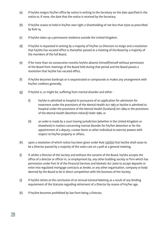- (a) if he/she resigns his/her office by notice in writing to the Secretary on the date specified in the notice or, if none, the date that the notice is received by the Secretary,
- (b) if he/she ceases to hold in his/her own right a Shareholding of not less than £500 as prescribed by Rule 14,
- (c) if he/she takes up a permanent residence outside the United Kingdom,
- (d) if he/she is requested in writing by a majority of his/her co-Directors to resign and a resolution that he/she has vacated office is thereafter passed at a meeting of the Board by a majority of the members of the full Board,
- (e) if for more than six consecutive months he/she absents himself/herself without permission of the Board from meetings of the Board held during that period and the Board passes a resolution that he/she has vacated office,
- (f) if he/she becomes bankrupt or is sequestrated or compounds or makes any arrangement with his/her creditors generally,
- (g) if he/she is, or might be, suffering from mental disorder and either
	- (i) he/she is admitted to hospital in pursuance of an application for admission for treatment under the provisions of the Mental Health Act 1983 or he/she is admitted to hospital under the provisions of the Mental Health (Scotland) Act 1984 or the provisions of the Mental Health (Northern Ireland) Order 1986, or
	- (ii) an order is made by a court having jurisdiction (whether in the United Kingdom or elsewhere) in matters concerning mental disorder for his/her detention or for the appointment of a deputy, curator bonis or other Individual to exercise powers with respect to his/her property or affairs,
- (h) upon a resolution of which notice has been given under Rule 33(2)(a) that he/she shall cease to be a Director passed by a majority of the votes cast on a poll at a general meeting,
- (i) if, whilst a Director of the Society and without the consent of the Board, he/she accepts the office of a director or officer in, or employment by, any other building society or firm which has permission under Part IV of the Financial Services and Markets Act 2000 to accept deposits or enter into regulated mortgage contracts as lender, or any other organisation, company or body deemed by the Board to be in direct competition with the business of the Society,
- (j) if he/she retires at the conclusion of an Annual General Meeting as a result of any binding requirement of the Statutes regarding retirement of a Director by reason of his/her age,
- (k) if he/she becomes prohibited by law from being a Director,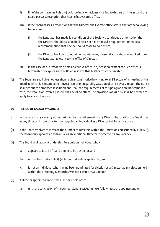- (l) if he/she contravenes Rule 21(1) by knowingly or recklessly failing to declare an interest and the Board passes a resolution that he/she has vacated office,
- (m) if the Board passes a resolution that the Director shall vacate office after either of the following has occurred
	- (i) the Regulator has made it a condition of the Society's continued authorisation that the Director should cease to hold office or has imposed a requirement or made a recommendation that he/she should cease to hold office,
	- (ii) the Director has failed to obtain or maintain any personal authorisation required from the Regulator relevant to the office of Director,
- (n) in the case of a Director who holds executive office, his/her appointment to such office is terminated or expires and the Board resolves that his/her office be vacated.
- (2) The Secretary shall give not less than 14 clear days' notice in writing to all Directors of a meeting of the Board at which it is intended to move a resolution regarding vacation of office by a Director. The notice shall set out the proposed resolution and, if all the requirements of this paragraph are not complied with, the resolution, even if passed, shall be of no effect. The provisions of Rule 46 shall be deemed to apply to any such notice.

#### **25. FILLING OF CASUAL VACANCIES**

- (1) In the case of any vacancy not occasioned by the retirement of any Director by rotation the Board may at any time, and from time to time, appoint an Individual as a Director to fill such vacancy.
- (2) If the Board resolves to increase the number of Directors within the limitations prescribed by Rule 12(1), the Board may appoint an Individual as an additional Director in order to fill any vacancy.
- (3) The Board shall appoint under this Rule only an Individual who
	- (a) appears to it to be fit and proper to be a Director, and
	- (b) is qualified under Rule 13 (as far as that Rule is applicable), and
	- (c) is not an Individual who, having been nominated for election as a Director at any election held within the preceding 12 months, was not elected as a Director.
- (4) A Director appointed under this Rule shall hold office
	- (a) until the conclusion of the Annual General Meeting next following such appointment, or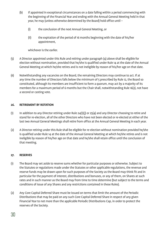- (b) if appointed in exceptional circumstances on a date falling within a period commencing with the beginning of the Financial Year and ending with the Annual General Meeting held in that year, he may (unless otherwise determined by the Board) hold office until –
	- (i) the conclusion of the next Annual General Meeting, or
	- (ii) the expiration of the period of 16 months beginning with the date of his/her appointment,

whichever is the earlier.

- (5) A Director appointed under this Rule and retiring under paragraph (4) above shall be eligible for election without nomination, provided that he/she is qualified under Rule 14 at the date of the Annual General Meeting at which he/she retires and is not ineligible by reason of his/her age on that date.
- (6) Notwithstanding any vacancies on the Board, the remaining Directors may continue to act. If at any time the number of Directors falls below the minimum of 5 prescribed by Rule 12, the Board so constituted, although its members are insufficient to form a quorum, may act by a majority of its members for a maximum period of 6 months but the Chair shall, notwithstanding Rule 16(2), not have a second or casting vote.

#### **26. RETIREMENT BY ROTATION**

- (1) In addition to any Director retiring under Rule 24(1)(j) or 25(4) and any Director choosing to retire and stand for re-election, all of the other Directors who have not been elected or re-elected at either of the last two Annual General Meetings shall retire from office at the Annual General Meeting in each year.
- (2) A Director retiring under this Rule shall be eligible for re-election without nomination provided he/she is qualified under Rule 14 at the date of the Annual General Meeting at which he/she retires and is not ineligible by reason of his/her age on that date and he/she shall retain office until the conclusion of that meeting.

#### **27. RESERVES**

- (1) The Board may set aside to reserve sums whether for particular purposes or otherwise. Subject to the Statutes or regulations made under the Statutes or other applicable regulations, the revenue and reserve funds may be drawn upon for such purposes of the Society as the Board may think fit and in particular for the payment of interest, distributions and bonuses, or any of them, on Shares at such rates and in such manner as the Board may from time to time determine (but subject to the terms and conditions of issue of any Shares and any restrictions contained in these Rules).
- (2) Any Core Capital Deferred Share must be issued on terms that limit the amount of the Periodic Distributions that may be paid on any such Core Capital Deferred Share in respect of any given Financial Year to not more than the applicable Periodic Distributions Cap, in order to protect the reserves of the Society.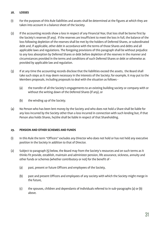#### **28. LOSSES**

- (1) For the purposes of this Rule liabilities and assets shall be determined at the figures at which they are taken into account in a balance sheet of the Society.
- (2) If the accounting records show a loss in respect of any Financial Year, that loss shall be borne first by the Society's reserves (if any). If the reserves are insufficient to meet the loss in full, the balance of the loss following depletion of the reserves shall be met by the holders of Deferred Shares, or subordinated debt and, if applicable, other debt in accordance with the terms of those Shares and debts and all applicable laws and regulations. The foregoing provisions of this paragraph shall be without prejudice to any loss absorption by Deferred Shares or debt before depletion of the reserves in the manner and circumstances provided in the terms and conditions of such Deferred Shares or debt or otherwise as provided by applicable law and regulation.
- (3) If at any time the accounting records disclose that the liabilities exceed the assets, the Board shall take such steps as it may deem necessary in the interests of the Society; for example, it may put to the Members proposals, including proposals to deal with the situation as follows -
	- (a) the transfer of all the Society's engagements to an existing building society or company with or without the writing down of the Deferred Shares (if any), or
	- (b) the winding up of the Society.
- (4) No Person who has been lent money by the Society and who does not hold a Share shall be liable for any loss incurred by the Society other than a loss incurred in connection with such lending but, if that Person also holds Shares, he/she shall be liable in respect of that Shareholding.

#### **29. PENSION AND OTHER SCHEMES AND FUNDS**

- (1) In this Rule the term "Officers" excludes any Director who does not hold or has not held any executive position in the Society in addition to that of Director.
- (2) Subject to paragraph (5) below, the Board may from the Society's resources and on such terms as it thinks fit provide, establish, maintain and administer pension, life assurance, sickness, annuity and other funds or schemes (whether contributory or not) for the benefit of -
	- (a) past, present or future Officers and employees of the Society,
	- (b) past and present Officers and employees of any society with which the Society might merge in the future,
	- (c) the spouses, children and dependants of Individuals referred to in sub-paragraphs (a) or (b) above.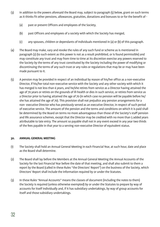- (3) In addition to the powers aforesaid the Board may, subject to paragraph (5) below, grant on such terms as it thinks fit other pensions, allowances, gratuities, donations and bonuses to or for the benefit of -
	- (a) past or present Officers and employees of the Society,
	- (b) past Officers and employees of a society with which the Society has merged,
	- (c) any spouses, children or dependants of Individuals mentioned in (a) or (b) of this paragraph.
- (4) The Board may make, vary and revoke the rules of any such fund or scheme as is mentioned in paragraph (2) (to such extent as this power is not as a result prohibited, or is found permissible) and may constitute any trust and may from time to time at its discretion exercise any powers reserved to the Society by the terms of any trust constituted by the Society including the power of modifying or discontinuing the terms of any such trust or any rules or regulations that may be or may have been made pursuant to it.
- (5) A pension may be provided in respect of an Individual by reason of his/her office as a non-executive Director, if his/her total non-executive service with the Society and any other society with which it has merged is not less than 6 years, and he/she retires from service as a Director having attained the age of 70 years or retires on the grounds of ill-health or dies in such service, or retires from service as a Director prior to having attained the age of 70 (in which case no pension will be payable before he/ she has attained the age of 70). This provision shall not prejudice any pension arrangements for a non- executive Director who has previously served as an executive Director, in respect of such period of executive service. The amount of the pension and the terms and conditions on which it is paid shall be determined by the Board on terms no more advantageous than those of the Society's staff pension and life assurance schemes, except that the Director may be credited with no more than 5 added years attributable to late entry. The amount so payable shall not in any event exceed in any year two thirds of the fees payable in that year to a serving non-executive Director of equivalent status.

#### **30. ANNUAL GENERAL MEETING**

- (1) The Society shall hold an Annual General Meeting in each Financial Year, at such hour, date and place as the Board shall determine.
- (2) The Board shall lay before the Members at the Annual General Meeting the Annual Accounts of the Society for the last Financial Year before the date of that meeting, and shall also submit to them a report by the Board (called in these Rules "the Directors' Report") on the business of the Society, which Directors' Report shall include the information required by or under the Statutes.
- (3) In these Rules "Annual Accounts" means the classes of document (including the notes to them) the Society is required (unless otherwise exempted) by or under the Statutes to prepare by way of accounts for itself individually and, if it has subsidiary undertakings, by way of group accounts for itself and those subsidiary undertakings.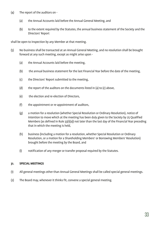- (4) The report of the auditors on
	- (a) the Annual Accounts laid before the Annual General Meeting, and
	- (b) to the extent required by the Statutes, the annual business statement of the Society and the Directors' Report

shall be open to inspection by any Member at that meeting.

- (5) No business shall be transacted at an Annual General Meeting, and no resolution shall be brought forward at any such meeting, except as might arise upon -
	- (a) the Annual Accounts laid before the meeting,
	- (b) the annual business statement for the last Financial Year before the date of the meeting,
	- (c) the Directors' Report submitted to the meeting,
	- (d) the report of the auditors on the documents listed in (a) to (c) above,
	- (e) the election and re-election of Directors,
	- (f) the appointment or re-appointment of auditors,
	- (g) a motion for a resolution (whether Special Resolution or Ordinary Resolution), notice of intention to move which at the meeting has been duly given to the Society by 25 Qualified Members (as defined in Rule  $33(1)(a)$ ) not later than the last day of the Financial Year preceding that in which the meeting is held,
	- (h) business (including a motion for a resolution, whether Special Resolution or Ordinary Resolution, or a motion for a Shareholding Members' or Borrowing Members' Resolution) brought before the meeting by the Board, and
	- (i) notification of any merger or transfer proposal required by the Statutes.

#### **31. SPECIAL MEETINGS**

- (1) All general meetings other than Annual General Meetings shall be called special general meetings.
- (2) The Board may, whenever it thinks fit, convene a special general meeting.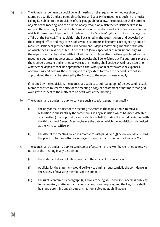(3) (a) The Board shall convene a special general meeting on the requisition of not less than 50 Members qualified under paragraph (4) below, and specify the meeting as such in the notice calling it. Subject to the provisions of sub-paragraph (b) below, the requisition shall state the objects of the meeting, and the full text of any resolution which the requisitioners wish to move at the meeting, (neither of which must include the election of a Director or a resolution which, if passed, would purport to interfere with the Directors' right and duty to manage the affairs of the Society). The requisition shall be signed by the requisitioners and deposited at the Principal Office and may consist of several documents in like form each signed by one or more requisitioners, provided that each document is deposited within 3 months of the date on which the first was deposited. A deposit of £50 in respect of each requisitioner signing the requisition shall be lodged with it. If within half an hour after the time appointed for the meeting a quorum is not present, all such deposits shall be forfeited but if a quorum is present the Members present and entitled to vote at the meeting shall decide by Ordinary Resolution whether the deposits shall be appropriated either wholly or in part towards the expenses of convening and holding the meeting and to any extent to which the deposits are not so appropriated they shall be returned by the Society to the requisitioners equally.

> If required by the requisition, the Board shall, subject to sub-paragraph (c) below, send to each Member entitled to receive notice of the meeting a copy of a statement of not more than 500 words with respect to the matters to be dealt with at the meeting.

- (b) The Board shall be under no duty to convene such a special general meeting if
	- (i) the only or main object of the meeting as stated in the requisition is to move a resolution in substantially the same terms as any resolution which has been defeated at a meeting (or on a postal ballot or electronic ballot) during the period beginning with the third Annual General Meeting before the date on which the requisition is deposited at the Principal Office, or
	- (ii) the date of the meeting called in accordance with paragraph (5) below would fall during the period of four months beginning one month after the end of the Financial Year.
- (c) The Board shall be under no duty to send copies of a statement to Members entitled to receive notice of the meeting in any case where -
	- (i) the statement does not relate directly to the affairs of the Society, or
	- (ii) publicity for the statement would be likely to diminish substantially the confidence in the Society of investing members of the public, or
	- (iii) the rights conferred by paragraph (a) above are being abused to seek needless publicity for defamatory matter or for frivolous or vexatious purposes, and the Regulator shall hear and determine any dispute arising from sub-paragraph (ii) above.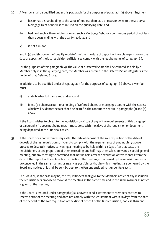- (4) A Member shall be qualified under this paragraph for the purposes of paragraph (3) above if he/she
	- (a) has or had a Shareholding to the value of not less than £100 or owes or owed to the Society a Mortgage Debt of not less than £100 on the qualifying date, and
	- (b) had held such a Shareholding or owed such a Mortgage Debt for a continuous period of not less than 2 years ending with the qualifying date, and
	- (c) is not a minor,

 and in (a) and (b) above the "qualifying date" is either the date of deposit of the sole requisition or the date of deposit of the last requisition sufficient to comply with the requirements of paragraph (3).

 For the purposes of this paragraph (4), the value of a Deferred Share shall be counted as held by a Member only if, at the qualifying date, the Member was entered in the Deferred Shares Register as the holder of that Deferred Share.

In addition, to be qualified under this paragraph for the purposes of paragraph (3) above, a Member must -

- (i) state his/her full name and address, and
- (ii) identify a share account or a holding of Deferred Shares or mortgage account with the Society which will evidence the fact that he/she fulfils the conditions set out in paragraphs (a) and (b) above.

 If the Board wishes to object to the requisition by virtue of any of the requirements of this paragraph or paragraph (3) above not being met, it must do so within 14 days of the requisition or document being deposited at the Principal Office.

(5) If the Board does not within 28 days after the date of deposit of the sole requisition or the date of deposit of the last requisition sufficient to comply with the requirements of paragraph (3) above proceed to despatch notices convening a meeting to be held within 63 days after that date, the requisitioners or any proportion of them exceeding one half may themselves convene a special general meeting, but any meeting so convened shall not be held after the expiration of five months from the date of the deposit of the sole or last requisition. The meeting so convened by the requisitioners shall be convened in the same manner, as nearly as possible, as that in which meetings are convened by the Board and notices of it shall be sent by post to the Persons entitled to it under Rule 32(3).

 The Board or, as the case may be, the requisitioners shall give to the Members notice of any resolution the requisitioners propose to move at the meeting at the same time and in the same manner as notice is given of the meeting.

 If the Board is required under paragraph (3)(a) above to send a statement to Members entitled to receive notice of the meeting and does not comply with the requirement within 28 days from the date of the deposit of the sole requisition or the date of deposit of the last requisition, not less than one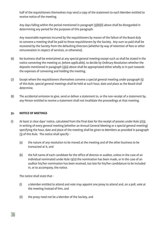half of the requisitioners themselves may send a copy of the statement to each Member entitled to receive notice of the meeting.

 Any days falling within the period mentioned in paragraph (3)(b)(ii) above shall be disregarded in determining any period for the purposes of this paragraph.

 Any reasonable expenses incurred by the requisitioners by reason of the failure of the Board duly to convene a meeting shall be paid to those requisitioners by the Society. Any sum so paid shall be recovered by the Society from the defaulting Directors (whether by way of retention of fees or other remuneration in respect of services, or otherwise).

- (6) No business shall be entertained at any special general meeting except such as shall be stated in the notice convening the meeting or, (where applicable), to decide by Ordinary Resolution whether the deposits mentioned in paragraph (3)(a) above shall be appropriated either wholly or in part towards the expenses of convening and holding the meeting.
- (7) Except where the requisitioners themselves convene a special general meeting under paragraph (5) of this Rule, special general meetings shall be held at such hour, date and place as the Board shall determine.
- (8) The accidental omission to give, send or deliver a statement to, or the non-receipt of a statement by, any Person entitled to receive a statement shall not invalidate the proceedings at that meeting.

#### **32. NOTICE OF MEETINGS**

- (1) At least 21 clear days' notice, calculated from the final date for the receipt of proxies under Rule 37(3), in writing of every general meeting (whether an Annual General Meeting or a special general meeting) specifying the hour, date and place of the meeting shall be given to Members as provided in paragraph (3) of this Rule. The notice shall specify -
	- (a) the nature of any resolution to be moved at the meeting and of the other business to be transacted at it, and
	- (b) the full name of each candidate for the office of director or auditor, unless in the case of an Individual nominated under Rule 13(12) the nomination has been made, or in the case of an auditor his/her nomination has been received, too late for his/her candidature to be included in, or to accompany, the notice.

The notice shall state that -

- (i) a Member entitled to attend and vote may appoint one proxy to attend and, on a poll, vote at the meeting instead of him, and
- (ii) the proxy need not be a Member of the Society, and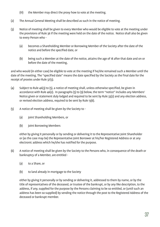- (iii) the Member may direct the proxy how to vote at the meeting.
- (2) The Annual General Meeting shall be described as such in the notice of meeting.
- (3) Notice of meeting shall be given to every Member who would be eligible to vote at the meeting under the provisions of Rule 36 if the meeting were held on the date of the notice. Notice shall also be given to every Person who -
	- (a) becomes a Shareholding Member or Borrowing Member of the Society after the date of the notice and before the specified date, or
	- (b) being such a Member at the date of the notice, attains the age of 18 after that date and on or before the date of the meeting,

and who would (in either case) be eligible to vote at the meeting if he/she remained such a Member until the date of the meeting. The "specified date" means the date specified by the Society as the final date for the receipt of proxies under Rule 37(3).

- (4) Subject to Rule 46(3) to (5), a notice of meeting shall, unless otherwise specified, be given in accordance with Rule 46(2). In paragraphs (5) to (9) below, the term "notice" includes any Members' Notice given or statement duly lodged and required to be sent by Rule 33(2) and any election address, or revised election address, required to be sent by Rule 13(6).
- (5) A notice of meeting shall be given by the Society to
	- (a) joint Shareholding Members, or
	- (b) ioint Borrowing Members

 either by giving it personally or by sending or delivering it to the Representative Joint Shareholder or (as the case may be) the Representative Joint Borrower at his/her Registered Address or at any electronic address which he/she has notified for the purpose.

- (6) A notice of meeting shall be given by the Society to the Persons who, in consequence of the death or bankruptcy of a Member, are entitled -
	- (a) to a Share, or
	- (b) to land already in mortgage to the Society

 either by giving it personally or by sending or delivering it, addressed to them by name, or by the title of representatives of the deceased, or trustee of the bankrupt, or by any like description, to the address, if any, supplied for the purpose by the Persons claiming to be so entitled, or (until such an address has been so supplied) by sending the notice through the post to the Registered Address of the deceased or bankrupt member.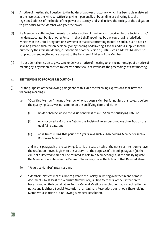- (7) A notice of meeting shall be given to the holder of a power of attorney which has been duly registered in the records at the Principal Office by giving it personally or by sending or delivering it to the registered address of the holder of the power of attorney, and shall relieve the Society of the obligation to give notice to the Member who gave the power.
- (8) If a Member is suffering from mental disorder a notice of meeting shall be given by the Society to his/ her deputy, curator bonis or other Person in that behalf appointed by any court having jurisdiction (whether in the United Kingdom or elsewhere) in matters concerning mental disorder. Such a notice shall be given to such Person personally or by sending or delivering it to the address supplied for the purpose by the aforesaid deputy, curator bonis or other Person or, until such an address has been so supplied, by sending the notice by post to the Registered Address of the Member.
- (9) The accidental omission to give, send or deliver a notice of meeting to, or the non-receipt of a notice of meeting by, any Person entitled to receive notice shall not invalidate the proceedings at that meeting.

#### **33. ENTITLEMENT TO PROPOSE RESOLUTIONS**

- (1) For the purposes of the following paragraphs of this Rule the following expressions shall have the following meanings -
	- (a) "Qualified Member" means a Member who has been a Member for not less than 2 years before the qualifying date, was not a minor on the qualifying date, and either -
		- (i) holds or held Shares to the value of not less than £100 on the qualifying date, or
		- (ii) owes or owed a Mortgage Debt to the Society of an amount not less than £100 on the qualifying date, and
		- (iii) at all times during that period of 2 years, was such a Shareholding Member or such a Borrowing Member,

 and in this paragraph the "qualifying date" is the date on which the notice of intention to have the resolution moved is given to the Society. For the purposes of this sub paragraph (a), the value of a Deferred Share shall be counted as held by a Member only if, at the qualifying date, the Member was entered in the Deferred Shares Register as the holder of that Deferred Share.

- (b) "Requisite Number" means 25, and
- (c) "Members' Notice" means a notice given to the Society in writing (whether in one or more documents) by at least the Requisite Number of Qualified Members, of their intention to have moved on their behalf at an Annual General Meeting a resolution that is specified in the notice and is either a Special Resolution or an Ordinary Resolution, but is not a Shareholding Members' Resolution or a Borrowing Members' Resolution.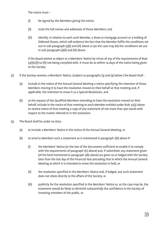The notice must –

- (i) be signed by the Members giving the notice;
- (ii) state the full names and addresses of those Members; and
- (iii) identify, in relation to each such Member, a share or mortgage account or a holding of Deferred Shares, which will evidence the fact that the Member fulfils the conditions set out in sub-paragraph (a)(i) and (iii) above or (as the case may be) the conditions set out in sub-paragraph (a)(ii) and (iii) above.

 If the Board wishes to object to a Members' Notice by virtue of any of the requirements of Rule 33(1)(c)(i) to (iii) not being complied with, it must do so within 14 days of the notice being given to the Society.

- (2) If the Society receives a Members' Notice, (subject to paragraphs (3) and (4) below ) the Board shall
	- (a) include in the notice of the Annual General Meeting a notice specifying the intention of those Members moving it to have the resolution moved on their behalf at that meeting and, if applicable, the intention to move it as a Special Resolution, and
	- (b) at the request of the Qualified Members intending to have the resolution moved on their behalf, include in the notice of that meeting to each Member entitled under Rule 32(3) above to receive notice of that meeting a copy of any statement of not more than 500 words with respect to the matter referred to in the resolution.
- (3) The Board shall be under no duty
	- (a) to include a Members' Notice in the notice of the Annual General Meeting, or
	- (b) to send to Members such a statement as is mentioned in paragraph 2(b) above if
		- (i) the Members' Notice (or the last of the documents sufficient to enable it to comply with the requirements of paragraph 1(c) above) and, if submitted, any statement given (of the kind mentioned in paragraph 2(b) above) are given to or lodged with the Society later than the last day of the Financial Year preceding that in which the Annual General Meeting at which it is intended to move the resolution is held, or
		- (ii) the resolution specified in the Members' Notice and, if lodged, any such statement does not relate directly to the affairs of the Society, or
		- (iii) publicity for the resolution specified in the Members' Notice or, as the case may be, the statement would be likely to diminish substantially the confidence in the Society of investing members of the public, or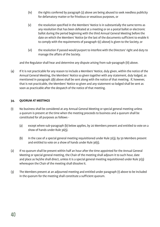- (iv) the rights conferred by paragraph (2) above are being abused to seek needless publicity for defamatory matter or for frivolous or vexatious purposes, or
- (v) the resolution specified in the Members' Notice is in substantially the same terms as any resolution that has been defeated at a meeting or on a postal ballot or electronic ballot during the period beginning with the third Annual General Meeting before the date on which the Members' Notice (or the last of the documents sufficient to enable it to comply with the requirements of paragraph 1(c) above) is given to the Society, or
- (vi) the resolution if passed would purport to interfere with the Directors' right and duty to manage the affairs of the Society.

and the Regulator shall hear and determine any dispute arising from sub-paragraph (iii) above.

(4) If it is not practicable for any reason to include a Members' Notice, duly given, within the notice of the Annual General Meeting, the Members' Notice so given together with any statement, duly lodged, as mentioned in paragraph 2(b) above shall be sent along with the notice of that meeting. If, however, that is not practicable, the Members' Notice so given and any statement so lodged shall be sent as soon as practicable after the despatch of the notice of that meeting.

#### **34. QUORUM AT MEETINGS**

- (1) No business shall be considered at any Annual General Meeting or special general meeting unless a quorum is present at the time when the meeting proceeds to business and a quorum shall be constituted for all purposes as follows -
	- (a) except where sub-paragraph (b) below applies, by 20 Members present and entitled to vote on a show of hands under Rule 36(5).
	- (b) in the case of a special general meeting requisitioned under Rule 31(3), by 50 Members present and entitled to vote on a show of hands under Rule 36(5).
- (2) If no quorum shall be present within half an hour after the time appointed for the Annual General Meeting or special general meeting, the Chair of the meeting shall adjourn it to such hour, date and place as he/she shall direct, unless it is a special general meeting requisitioned under Rule 31(3) whereupon the Chair of the meeting shall dissolve it.
- (3) The Members present at an adjourned meeting and entitled under paragraph (1) above to be included in the quorum for the meeting shall constitute a sufficient quorum.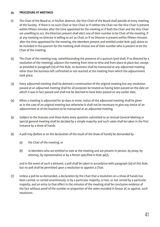#### **35. PROCEDURE AT MEETINGS**

- (1) The Chair of the Board or, in his/her absence, the Vice-Chair of the Board shall preside at every meeting of the Society. If there is no such Chair or Vice-Chair or if neither the Chair nor the Vice-Chair is present within fifteen minutes after the time appointed for the meeting or if both the Chair and the Vice-Chair are unwilling to act, the Directors present shall elect one of their number to be Chair of the meeting. If at any meeting no Director is willing to act as Chair, or if no Director is present within fifteen minutes after the time appointed for the meeting, the Members present and entitled under Rule 34(1) above to be included in the quorum for the meeting shall choose one of their number who is present to be the Chair of the meeting.
- (2) The Chair of the meeting may, notwithstanding the presence of a quorum (and shall, if so directed by a resolution of the meeting), adjourn the meeting from time to time and from place to place but, except as provided in paragraph (10) of this Rule, no business shall be transacted at any adjourned meeting other than the business left unfinished or not reached at the meeting from which the adjournment took place.
- (3) Every adjourned meeting shall be deemed a continuation of the original meeting but any resolution passed at an adjourned meeting shall for all purposes be treated as having been passed on the date on which it was in fact passed and shall not be deemed to have been passed on any earlier date.
- (4) When a meeting is adjourned for 30 days or more, notice of the adjourned meeting shall be given as in the case of an original meeting but otherwise it shall not be necessary to give any notice of an adjournment or of the business to be transacted at an adjourned meeting.
- (5) Subject to the Statutes and these Rules every question submitted to an Annual General Meeting or special general meeting shall be decided by a simple majority and such votes shall be taken in the first instance by a show of hands.
- (6) A poll may (before or on the declaration of the result of the show of hands) be demanded by
	- (a) the Chair of the meeting, or
	- (b) 10 Members who are entitled to vote at the meeting and are present in person, by proxy, by attorney, by representative or by a Person specified in Rule 36(7),

 and in the event of such a demand, a poll shall be taken in accordance with paragraph (10) of this Rule, but no poll shall be permitted upon a resolution to appoint a Chair.

(7) Unless a poll be so demanded, a declaration by the Chair that a resolution on a show of hands has been carried, or carried unanimously, or by a particular majority, or lost, or not carried by a particular majority, and an entry to that effect in the minutes of the meeting shall be conclusive evidence of the fact without proof of the number or proportion of the votes recorded in favour of, or against, such resolution.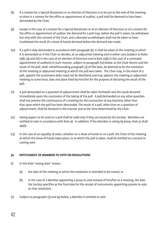- (8) If a motion for a Special Resolution or an election of Directors is to be put to the vote of the meeting or there is a contest for the office or appointment of auditor, a poll shall be deemed to have been demanded by the Chair.
- (9) Except in the case of a motion for a Special Resolution or of an election of Directors or of a contest for the office or appointment of auditor, the demand for a poll may, before the poll is taken, be withdrawn but only with the consent of the Chair, and a demand so withdrawn shall not be taken to have invalidated the result of a show of hands declared before the demand was made.
- (10) If a poll is duly demanded in accordance with paragraph (6), it shall be taken at the meeting at which it is demanded or, if the Chair so decides, at an adjourned meeting and in either case (subject to Rules 13(8), (9) and (10) in the case of an election of Directors and to Rule 41(6) in the case of a contested appointment of auditors) in such manner, subject to paragraph (12) below, as the Chair directs and the result of the poll, shall, notwithstanding paragraph (3) of this Rule, be deemed to be the resolution of the meeting or adjourned meeting at which the poll was taken. The Chair may, in the event of a poll, appoint the scrutineers (who need not be Members) and may adjourn the meeting or adjourned meeting to some hour, date and place fixed by him/her for the purpose of declaring the result of the poll.
- (11) A poll demanded on a question of adjournment shall be taken forthwith and the result declared immediately upon the conclusion of the taking of the poll. A poll demanded on any other question shall not prevent the continuance of a meeting for the transaction of any business other than that upon which the poll has been demanded. The result of a poll, other than on a question of adjournment, shall be declared in the manner and at the time determined by the Chair.
- (12) Voting papers to be used on a poll shall be valid only if they are issued by the Society. Members are entitled to vote in accordance with Rule 36. In addition, if the Member is voting by proxy, Rule 37 shall apply.
- (13) In the case of an equality of votes, whether on a show of hands or on a poll, the Chair of the meeting at which the show of hands takes place, or at which the poll is taken, shall be entitled to a second or casting vote.

#### **36. ENTITLEMENT OF MEMBERS TO VOTE ON RESOLUTIONS**

- (1) In this Rule "voting date" means
	- (a) the date of the meeting at which the resolution is intended to be moved, or
	- (b) in the case of a Member appointing a proxy to vote instead of him/her at a meeting, the date the Society specifies as the final date for the receipt of instruments appointing proxies to vote on that resolution.
- (2) Subject to paragraphs (3) and (4) below, a Member is entitled to vote -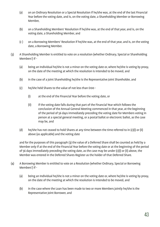- (a) on an Ordinary Resolution or a Special Resolution if he/she was, at the end of the last Financial Year before the voting date, and is, on the voting date, a Shareholding Member or Borrowing Member,
- (b) on a Shareholding Members' Resolution if he/she was, at the end of that year, and is, on the voting date, a Shareholding Member, and
- (c ) on a Borrowing Members' Resolution if he/she was, at the end of that year, and is, on the voting date, a Borrowing Member.
- (3) A Shareholding Member is entitled to vote on a resolution (whether Ordinary, Special or Shareholding Members') if -
	- (a) being an Individual he/she is not a minor on the voting date or, where he/she is voting by proxy, on the date of the meeting at which the resolution is intended to be moved, and
	- (b) in the case of a joint Shareholding he/she is the Representative Joint Shareholder, and
	- (c) he/she held Shares to the value of not less than £100
		- (i) at the end of the Financial Year before the voting date, or
		- (ii) if the voting date falls during that part of the Financial Year which follows the conclusion of the Annual General Meeting commenced in that year, at the beginning of the period of 56 days immediately preceding the voting date for Members voting in person at a special general meeting, or a postal ballot or electronic ballot, as the case may be, and
	- (d) he/she has not ceased to hold Shares at any time between the time referred to in (c)(i) or (ii) above (as applicable) and the voting date

 and for the purposes of this paragraph (3) the value of a Deferred Share shall be counted as held by a Member only if at the end of the Financial Year before the voting date or at the beginning of the period of 56 days immediately preceding the voting date, as the case may be under (c)(i) or (ii) above, the Member was entered in the Deferred Shares Register as the holder of that Deferred Share.

- (4) A Borrowing Member is entitled to vote on a Resolution (whether Ordinary, Special or Borrowing Members') if -
	- (a) being an Individual he/she is not a minor on the voting date or, where he/she is voting by proxy, on the date of the meeting at which the resolution is intended to be moved, and
	- (b) in the case where the Loan has been made to two or more Members jointly he/she is the Representative Joint Borrower, and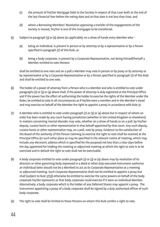- (c) the amount of his/her Mortgage Debt to the Society in respect of that Loan both at the end of the last Financial Year before the voting date and at that date is not less than £100, and
- (d) where a Borrowing Members' Resolution approving a transfer of the engagements of the Society is moved, his/her is one of the mortgages to be transferred.
- (5) Subject to paragraph (3) or (4) above (as applicable), on a show of hands every Member who
	- (a) being an Individual, is present in person or by attorney or by a representative or by a Person specified in paragraph (7) of this Rule, or
	- (b) being a body corporate, is present by a Corporate Representative, not being himself/herself a Member entitled to vote thereon

 shall be entitled to one vote and on a poll a Member may vote in person or by proxy or by attorney or by representative or by a Corporate Representative or by a Person specified in paragraph (7) of this Rule and shall be entitled to one vote.

- (6) The holder of a power of attorney from a Person who is a Member and who is entitled to vote under paragraphs (2) or (3) or (4) above shall, if the power of attorney is duly registered at the Principal Office and if the power has the effect of authorising the holder to exercise the rights of the Member under the Rules, be entitled to vote in all circumstances as if he/she were a member and in the Member's stead and may exercise on behalf of the Member the right to appoint a proxy in accordance with Rule 37.
- (7) A Member who is entitled to vote under paragraph (2) or (3) or (4) above but in respect of whom an order has been made by any court having jurisdiction (whether in the United Kingdom or elsewhere) in matters concerning mental disorder may vote, whether on a show of hands or on a poll, by his/her deputy, curator bonis or other representative in that behalf appointed by that court. Any such deputy, curator bonis or other representative may, on a poll, vote by proxy. Evidence to the satisfaction of the Board of the authority of the Person claiming to exercise the right to vote shall be received at the Principal Office (or such other place as may be specified in the relevant notice of meeting, which may include any electronic address which is specified for the purpose) not less than 2 clear days before the day appointed for holding the meeting or adjourned meeting at which the right to vote is to be exercised and in default the right to vote shall not be exercisable.
- (8) A body corporate entitled to vote under paragraph (2) or (3) or (4) above may by resolution of its directors or other governing body expressed in a deed or other duly executed instrument authorise an Individual (who should not be a Member) to act as its Corporate Representative at a meeting or adjourned meeting. Such Corporate Representative shall not be entitled to appoint a proxy but shall (subject to Rule 37(3)) otherwise be entitled to exercise the same powers on behalf of the body corporate he/she represents as that body corporate could exercise if it were an Individual Member. Alternatively, a body corporate which is the holder of any Deferred Shares may appoint a proxy. The instrument appointing a proxy of a body corporate shall be signed by a duly authorised officer of such body corporate.
- (9) The right to vote shall be limited to those Persons on whom this Rule confers a right to vote.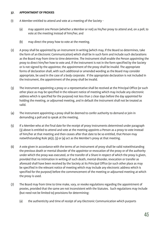#### **37. APPOINTMENT OF PROXIES**

- (1) A Member entitled to attend and vote at a meeting of the Society
	- (a) may appoint one Person (whether a Member or not) as his/her proxy to attend and, on a poll, to vote at the meeting instead of him/her, and
	- (b) may direct the proxy how to vote at the meeting.
- (2) A proxy shall be appointed by an instrument in writing (which may, if the Board so determines, take the form of an Electronic Communication) which shall be in such form and include such declarations as the Board may from time to time determine. The instrument shall enable the Person appointing the proxy to direct him/her how to vote and, if the instrument is not in the form specified by the Society or is not signed by the appointor, the appointment of the proxy shall be invalid. The appropriate forms of declaration shall, with such additional or amended wording as the Board may consider appropriate, be used in the case of a body corporate. If the appropriate declaration is not included in the instrument, the appointment of the proxy shall be invalid.
- (3) The instrument appointing a proxy or a representative shall be received at the Principal Office (or such other place as may be specified in the relevant notice of meeting which may include any electronic address which is specified for the purpose) not less than 2 clear days before the day appointed for holding the meeting, or adjourned meeting, and in default the instrument shall not be treated as valid.
- (4) The instrument appointing a proxy shall be deemed to confer authority to demand or join in demanding a poll and to speak at the meeting.
- (5) If a Member who at the final date for the receipt of proxy instruments determined under paragraph (3) above is entitled to attend and vote at the meeting appoints a Person as a proxy to vote instead of him/her at that meeting and then ceases after that date to be so entitled, that Person may notwithstanding Rule 36(2), (3) or (4) act as the Member's proxy at that meeting.
- (6) A vote given in accordance with the terms of an instrument of proxy shall be valid notwithstanding the previous death or mental disorder of the appointor or revocation of the proxy or of the authority under which the proxy was executed, or the transfer of a Share in respect of which the proxy is given, provided that no intimation in writing of such death, mental disorder, revocation or transfer as aforesaid shall have been received by the Society at its Principal Office (or such other place as may be specified in the relevant notice of meeting which may include any electronic address which is specified for the purpose) before the commencement of the meeting or adjourned meeting at which the proxy is used.
- (7) The Board may from time to time make, vary, or revoke regulations regarding the appointment of proxies, provided that the same are not inconsistent with the Statutes. Such regulations may include (but need not be limited to) provisions for determining:
	- (a) the authenticity and time of receipt of any Electronic Communication which purports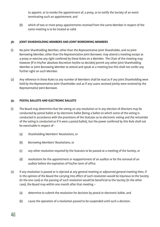to appoint, or to revoke the appointment of, a proxy, or to notify the Society of an event terminating such an appointment; and

(b) which of two or more proxy appointments received from the same Member in respect of the same meeting is to be treated as valid.

#### **38. JOINT SHAREHOLDING MEMBERS AND JOINT BORROWING MEMBERS**

- (1) No joint Shareholding Member, other than the Representative Joint Shareholder, and no joint Borrowing Member, other than the Representative Joint Borrower, may attend a meeting except as a proxy or exercise any right conferred by these Rules on a Member. The Chair of the meeting may however (if in his/her absolute discretion he/she so decides) permit any other joint Shareholding Member or joint Borrowing Member to attend and speak at a meeting but this shall not confer any further right on such Member.
- (2) Any reference in these Rules to any number of Members shall be read as if any joint Shareholding were held by the Representative Joint Shareholder and as if any Loans received jointly were received by the Representative Joint Borrower.

#### **39. POSTAL BALLOTS AND ELECTRONIC BALLOTS**

- (1) The Board may determine that the voting on any resolution or in any election of directors may be conducted by postal ballot or by electronic ballot (being a ballot on which some of the voting is conducted in accordance with the provisions of the Statutes as to electronic voting and the remainder of the voting is conducted as if it were a postal ballot), but the power conferred by this Rule shall not be exercisable in respect of -
	- (a) Shareholding Members' Resolutions, or
	- (b) Borrowing Members' Resolutions, or
	- (c) any other resolution required by the Statutes to be passed at a meeting of the Society, or
	- (d) resolutions for the appointment or reappointment of an auditor or for the removal of an auditor before the expiration of his/her term of office.
- (2) If any resolution is passed or is rejected at any general meeting or adjourned general meeting then, if in the opinion of the Board the carrying into effect of such resolution would be injurious to the Society (in the one case) or the passing of such resolution would be beneficial to the Society (in the other case), the Board may within one month after that meeting –
	- (a) determine to submit the resolution for decision by postal or electronic ballot, and
	- (b) cause the operation of a resolution passed to be suspended until such a decision.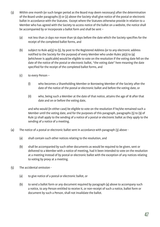- (3) Within one month (or such longer period as the Board may deem necessary) after the determination of the Board under paragraphs (1) or (2) above the Society shall give notice of the postal or electronic ballot in accordance with the Statutes. Except where the Statutes otherwise provide in relation to a Member who has agreed with the Society to access notice of the ballot on a website, the notice shall be accompanied by or incorporate a ballot form and shall be sent –
	- (a) not less than 21 days nor more than 56 days before the date which the Society specifies for the receipt of the completed ballot forms, and
	- (b) subject to Rule 46(3) to (5), by post to the Registered Address (or to any electronic address notified to the Society for the purpose) of every Member who under Rules 36(2) to (4) (whichever is applicable) would be eligible to vote on the resolution if the voting date fell on the date of the notice of the postal or electronic ballot, "the voting date" here meaning the date specified for the receipt of the completed ballot forms, and
	- (c) to every Person
		- (i) who becomes a Shareholding Member or Borrowing Member of the Society after the date of the notice of the postal or electronic ballot and before the voting date, or
		- (ii) who, being such a Member at the date of that notice, attains the age of 18 after that date and on or before the voting date,

 and who would (in either case) be eligible to vote on the resolution if he/she remained such a Member until the voting date, and for the purposes of this paragraph, paragraphs (5) to (9) of Rule 32 shall apply to the sending of a notice of a postal or electronic ballot as they apply to the sending of a notice of a meeting.

- (4) The notice of a postal or electronic ballot sent in accordance with paragraph (3) above
	- (a) shall contain such other notices relating to the resolution, and
	- (b) shall be accompanied by such other documents as would be required to be given, sent or delivered to a Member with a notice of meeting, had it been intended to vote on the resolution at a meeting instead of by postal or electronic ballot with the exception of any notices relating to voting by proxy at a meeting.
- (5) The accidental omission
	- (a) to give notice of a postal or electronic ballot, or
	- (b) to send a ballot form or any document required by paragraph (4) above to accompany such a notice, to any Person entitled to receive it, or non-receipt of such a notice, ballot form or document by such a Person, shall not invalidate the ballot.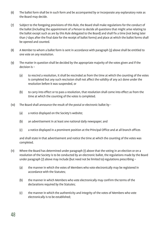- (6) The ballot form shall be in such form and be accompanied by or incorporate any explanatory note as the Board may decide.
- (7) Subject to the foregoing provisions of this Rule, the Board shall make regulations for the conduct of the ballot (including the appointment of a Person to decide all questions that might arise relating to the ballot except such as are by this Rule delegated to the Board) and shall fix a time (not being later than 7 days after the final date for the receipt of ballot forms) and place at which the ballot forms shall be opened and counted.
- (8) A Member to whom a ballot form is sent in accordance with paragraph (3) above shall be entitled to one vote on any resolution.
- (9) The matter in question shall be decided by the appropriate majority of the votes given and if the decision is –
	- (a) to rescind a resolution, it shall be rescinded as from the time at which the counting of the votes is completed but any such rescission shall not affect the validity of any act done under the resolution before it was suspended, or
	- (b) to carry into effect or to pass a resolution, that resolution shall come into effect as from the time at which the counting of the votes is completed.
- (10) The Board shall announce the result of the postal or electronic ballot by
	- (a) a notice displayed on the Society's website;
	- (b) an advertisement in at least one national daily newspaper; and
	- (c) a notice displayed in a prominent position at the Principal Office and at all branch offices

 and shall state in that advertisement and notice the time at which the counting of the votes was completed.

- (11) Where the Board has determined under paragraph (1) above that the voting in an election or on a resolution of the Society is to be conducted by an electronic ballot, the regulations made by the Board under paragraph (7) above may include (but need not be limited to) regulations prescribing -
	- (a) the manner in which the votes of Members who vote electronically may be registered in accordance with the Statutes;
	- (b) the manner in which Members who vote electronically may confirm the terms of the declarations required by the Statutes;
	- (c) the manner in which the authenticity and integrity of the votes of Members who vote electronically is to be established;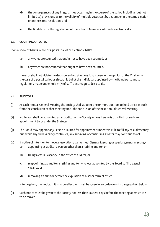- (d) the consequences of any irregularities occurring in the course of the ballot, including (but not limited to) provisions as to the validity of multiple votes cast by a Member in the same election or on the same resolution; and
- (e) the final date for the registration of the votes of Members who vote electronically.

#### **40. COUNTING OF VOTES**

If on a show of hands, a poll or a postal ballot or electronic ballot-

- (a) any votes are counted that ought not to have been counted, or
- (b) any votes are not counted that ought to have been counted,

 the error shall not vitiate the decision arrived at unless it has been in the opinion of the Chair or in the case of a postal ballot or electronic ballot the Individual appointed by the Board pursuant to regulations made under Rule 39(7) of sufficient magnitude so to do.

#### **41. AUDITORS**

- (1) At each Annual General Meeting the Society shall appoint one or more auditors to hold office as such from the conclusion of that meeting until the conclusion of the next Annual General Meeting.
- (2) No Person shall be appointed as an auditor of the Society unless he/she is qualified for such an appointment by or under the Statutes.
- (3) The Board may appoint any Person qualified for appointment under this Rule to fill any casual vacancy but, while any such vacancy continues, any surviving or continuing auditor may continue to act.
- (4) If notice of intention to move a resolution at an Annual General Meeting or special general meeting (a) appointing as auditor a Person other than a retiring auditor, or
	- (b) filling a casual vacancy in the office of auditor, or
	- (c) reappointing as auditor a retiring auditor who was appointed by the Board to fill a casual vacancy, or
	- (d) removing an auditor before the expiration of his/her term of office

is to be given, the notice, if it is to be effective, must be given in accordance with paragraph (5) below.

(5) Such notice must be given to the Society not less than 28 clear days before the meeting at which it is to be moved -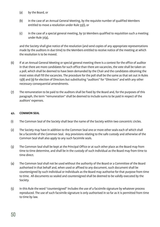- (a) by the Board, or
- (b) in the case of an Annual General Meeting, by the requisite number of qualified Members entitled to move a resolution under Rule 33(1), or
- (c) in the case of a special general meeting, by 50 Members qualified to requisition such a meeting under Rule 31(4),

 and the Society shall give notice of the resolution (and send copies of any appropriate representations made by the auditors in due time) to the Members entitled to receive notice of the meeting at which the resolution is to be moved.

- (6) If at an Annual General Meeting or special general meeting there is a contest for the office of auditor in that there are more candidates for such office than there are vacancies, the vote shall be taken on a poll, which shall be deemed to have been demanded by the Chair and the candidates obtaining the most votes shall fill the vacancies. The procedure for the poll shall be the same as that set out in Rules 13(8) and (9) for election of Directors but substituting "auditors" for "Directors" and with any other necessary consequential amendments.
- (7) The remuneration to be paid to the auditors shall be fixed by the Board and, for the purposes of this paragraph, the term "remuneration" shall be deemed to include sums to be paid in respect of the auditors' expenses.

#### **42. COMMON SEAL**

- (1) The Common Seal of the Society shall bear the name of the Society within two concentric circles.
- (2) The Society may have in addition to the Common Seal one or more other seals each of which shall be a facsimile of the Common Seal. Any provisions relating to the safe custody and otherwise of the Common Seal shall also apply to any such facsimile seals.
- (3) The Common Seal shall be kept at the Principal Office or at such other place as the Board may from time to time determine, and shall be in the custody of such Individual as the Board may from time to time direct.
- (4) The Common Seal shall not be used without the authority of the Board or a Committee of the Board authorised in that behalf and, when used or affixed to any document, such document shall be countersigned by such Individual or Individuals as the Board may authorise for that purpose from time to time. All documents so sealed and countersigned shall be deemed to be validly executed by the Society.
- (5) In this Rule the word "countersigned" includes the use of a facsimile signature by whatever process reproduced. The use of such facsimile signature is only authorised in so far as it is permitted from time to time by law.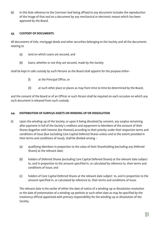(6) In this Rule reference to the Common Seal being affixed to any document includes the reproduction of the image of that seal on a document by any mechanical or electronic means which has been approved by the Board.

#### **43. CUSTODY OF DOCUMENTS**

All documents of title, mortgage deeds and other securities belonging to the Society and all the documents relating to

- (a) land on which Loans are secured, and
- (b) loans, whether or not they are secured, made by the Society

shall be kept in safe custody by such Persons as the Board shall appoint for the purpose either -

- (i) at the Principal Office, or
- (ii) at such other place or places as may from time to time be determined by the Board,

and the consent of the Board or of an Officer or such Person shall be required on each occasion on which any such document is released from such custody.

#### **44. DISTRIBUTION OF SURPLUS ASSETS ON WINDING UP OR DISSOLUTION**

- (1) Upon the winding-up of the Society, or upon it being dissolved by consent, any surplus remaining after payment in full of the Society's creditors and repayment to Members of the amount of their Shares (together with interest due thereon) according to their priority under their respective terms and conditions of issue (but excluding Core Capital Deferred Shares unless and to the extent provided in their terms and conditions of issue), shall be divided among –
	- (a) qualifying Members in proportion to the value of their Shareholding (excluding any Deferred Shares) at the relevant date;
	- (b) holders of Deferred Shares (excluding Core Capital Deferred Shares) at the relevant date subject to, and in proportion to the amount specified in, or calculated by reference to, their terms and conditions of issue; and
	- (c) holders of Core Capital Deferred Shares at the relevant date subject to, and in proportion to the amount specified in, or calculated by reference to, their terms and conditions of issue.

 The relevant date is the earlier of either the date of notice of a winding-up or dissolution resolution or the date of presentation of a winding-up petition or such other date as may be specified by the insolvency official appointed with primary responsibility for the winding-up or dissolution of the Society.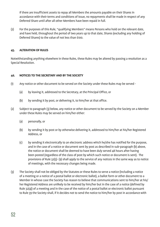If there are insufficient assets to repay all Members the amounts payable on their Shares in accordance with their terms and conditions of issue, no repayments shall be made in respect of any Deferred Share until after all other Members have been repaid in full.

(2) For the purposes of this Rule, "qualifying Members" means Persons who hold on the relevant date, and have held, throughout the period of two years up to that date, Shares (excluding any holding of Deferred Shares) to the value of not less than £100.

#### **45. ALTERATION OF RULES**

Notwithstanding anything elsewhere in these Rules, these Rules may be altered by passing a resolution as a Special Resolution.

#### **46. NOTICES TO THE SECRETARY AND BY THE SOCIETY**

- (1) Any notice or other document to be served on the Society under these Rules may be served
	- (a) by leaving it, addressed to the Secretary, at the Principal Office, or
	- (b) by sending it by post, or delivering it, to him/her at that office.
- (2) Subject to paragraph (3) below, any notice or other document to be served by the Society on a Member under these Rules may be served on him/her either:
	- (a) personally, or
	- (b) by sending it by post or by otherwise delivering it, addressed to him/her at his/her Registered Address, or
	- (c) by sending it electronically to an electronic address which he/she has notified for the purpose, and in the case of a notice or document sent by post as described in sub-paragraph (b) above, the notice or document shall be deemed to have been duly served 48 hours after having been posted (regardless of the class of post by which such notice or document is sent). The provisions of Rule 32(5)- (9) shall apply to the service of any notices in the same way as to notice of meetings, with the necessary changes being made.
- (3) The Society shall not be obliged by the Statutes or these Rules to serve a notice (including a notice of a meeting or a notice of a postal ballot or electronic ballot), a ballot form or other document to a Member in whose case the Society has reason to believe that communications sent to him/her at his/ her Registered Address are unlikely to be received by him/her but in the case of a notice (defined by Rule 32(4)) of a meeting and in the case of the notice of a postal ballot or electronic ballot pursuant to Rule 39 the Society shall, if it decides not to send the notice to him/her by post in accordance with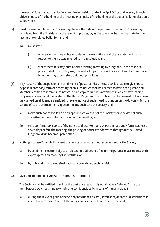those provisions, instead display in a prominent position at the Principal Office and in every branch office a notice of the holding of the meeting or a notice of the holding of the postal ballot or electronic ballot which –

- (a) must be given not later than 21 clear days before the date of the proposed meeting, or 21 clear days calculated from the final date for the receipt of proxies, or, as the case may be, the final date for the receipt of completed ballot forms, and
	- (b) must state
		- (i) where Members may obtain copies of the resolutions and of any statements with respect to the matters referred to in a resolution, and
		- (ii) where Members may obtain forms relating to voting by proxy and, in the case of a postal ballot, where they may obtain ballot papers or, in the case of an electronic ballot, how they may access electronic voting facilities.
- (4) If by reason of the suspension or curtailment of postal services the Society is unable to give notice by post in hard copy form of a meeting, then such notice shall be deemed to have been given to all Members entitled to receive such notice in hard copy form if it is advertised in at least two leading daily newspapers widely circulated in the United Kingdom. Such notice shall be deemed to have been duly served on all Members entitled to receive notice of such meeting at noon on the day on which the second of such advertisements appears. In any such case the Society shall:
	- (a) make such notice available on an appropriate website of the Society from the date of such advertisement until the conclusion of the meeting, and
	- (b) send confirmatory copies of the notice to those Members by post in hard copy form if, at least seven days before the meeting, the posting of notices to addresses throughout the United Kingdom again becomes practicable.
- (5) Nothing in these Rules shall prevent the service of a notice or other document by the Society
	- (a) by sending it electronically to an electronic address notified for the purpose in accordance with express provision made by the Statutes, or
	- (b) by publication on a web site in accordance with any such provision.

#### **47. SALES OF DEFERRED SHARES OF UNTRACEABLE HOLDER**

- (1) The Society shall be entitled to sell for the best price reasonably obtainable a Deferred Share of a Member, or a Deferred Share to which a Person is entitled by means of transmission, if
	- (a) during the relevant period, the Society has made at least 3 interest payments or distributions in respect of a Deferred Share of the same class as the Deferred Share to be sold;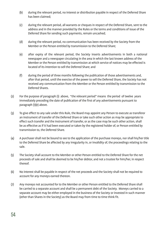- (b) during the relevant period, no interest or distribution payable in respect of the Deferred Share has been claimed;
- (c) during the relevant period, all warrants or cheques in respect of the Deferred Share, sent to the address and in the manner provided by the Rules or the terms and conditions of issue of the Deferred Share for sending such payments, remain uncashed;
- (d) during the relevant period, no communication has been received by the Society from the Member or the Person entitled by transmission to the Deferred Share;
- (e) after expiry of the relevant period, the Society inserts advertisements in both a national newspaper and a newspaper circulating in the area in which the last known address of the Member or the Person entitled by transmission at which service of notices may be effected is located of its intention to sell the Deferred Share; and
- (f) during the period of three months following the publication of those advertisements and, after that period, until the exercise of the power to sell the Deferred Share, the Society has not received any communication from the Member or the Person entitled by transmission to the Deferred Shares.
- (2) For the purpose of paragraph (1) above, "the relevant period" means the period of twelve years immediately preceding the date of publication of the first of any advertisements pursuant to paragraph (1)(e) above.
- (3) To give effect to any sale under this Rule, the Board may appoint any Person to execute as transferor an instrument of transfer of the Deferred Share or take such other action as may be appropriate to effect such transfer and the instrument of transfer, or as the case may be such other action, shall be as effective as if it had been executed or taken by the registered holder of, or Person entitled by transmission to, the Deferred Share.
- (4) A purchaser shall not be bound to see to the application of the purchase moneys, nor shall his/her title to the Deferred Share be affected by any irregularity in, or invalidity of, the proceedings relating to the sale.
- (5) The Society shall account to the Member or other Person entitled to the Deferred Share for the net proceeds of sale and shall be deemed to be his/her debtor, and not a trustee for him/her, in respect thereof.
- (6) No interest shall be payable in respect of the net proceeds and the Society shall not be required to account for any moneys earned thereon.
- (7) Any moneys not accounted for to the Member or other Person entitled to the Deferred Share shall be carried to a separate account and shall be a permanent debt of the Society. Moneys carried to a separate account may be either employed in the business of the Society or invested in such manner (other than Shares in the Society) as the Board may from time to time think fit.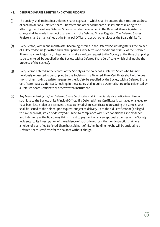#### **48. DEFERRED SHARES REGISTER AND OTHER RECORDS**

- (1) The Society shall maintain a Deferred Shares Register in which shall be entered the name and address of each holder of a Deferred Share. Transfers and other documents or instructions relating to or affecting the title of any Deferred Shares shall also be recorded in the Deferred Shares Register. No charge shall be made in respect of any entry in the Deferred Shares Register. The Deferred Shares Register shall be maintained at the Principal Office, or at such other place as the Board thinks fit.
- (2) Every Person, within one month after becoming entered in the Deferred Shares Register as the holder of a Deferred Share (or within such other period as the terms and conditions of issue of the Deferred Shares may provide), shall, if he/she shall make a written request to the Society at the time of applying to be so entered, be supplied by the Society with a Deferred Share Certificate (which shall not be the property of the Society).
- (3) Every Person entered in the records of the Society as the holder of a Deferred Share who has not previously requested to be supplied by the Society with a Deferred Share Certificate shall within one month after making a written request to the Society be supplied by the Society with a Deferred Share Certificate. Save as aforesaid, nothing in these Rules shall require a Deferred Share to be evidenced by a Deferred Share Certificate or other written instrument.
- (4) Any Member losing his/her Deferred Share Certificate shall immediately give notice in writing of such loss to the Society at its Principal Office. If a Deferred Share Certificate is damaged or alleged to have been lost, stolen or destroyed, a new Deferred Share Certificate representing the same Shares shall be issued to the holder upon request, subject to delivery up of the old Certificate or (if alleged to have been lost, stolen or destroyed) subject to compliance with such conditions as to evidence and indemnity as the Board may think fit and to payment of any exceptional expenses of the Society incidental to its investigation of the evidence of such alleged loss, theft or destruction. Where a holder of a certified Deferred Share has sold part of his/her holding he/she will be entitled to a Deferred Share Certificate for the balance without charge.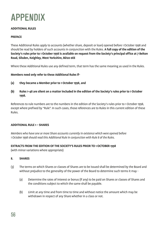

#### **ADDITIONAL RULES**

#### **PREFACE**

These Additional Rules apply to accounts (whether share, deposit or loan) opened before 1 October 1998 and should be read by holders of such accounts in conjunction with the Rules. **A full copy of the edition of the Society's rules prior to 1 October 1998 is available on request from the Society's principal office at 7 Belton Road, Silsden, Keighley, West Yorkshire, BD20 0EE**

Where these Additional Rules use any defined term, that term has the same meaning as used in the Rules.

**Members need only refer to these Additional Rules if-**

- **(a) they became a Member prior to 1 October 1998, and**
- **(b) Rules 1-48 are silent on a matter included in the edition of the Society's rules prior to 1 October 1998.**

References to rule numbers are to the numbers in the edition of the Society's rules prior to 1 October 1998, except where prefixed by "Rule". In such cases, those references are to Rules in this current edition of these Rules.

#### **ADDITIONAL RULE 1 – SHARES**

*Members who have one or more Share accounts currently in existence which were opened before 1 October 1998 should read this Additional Rule in conjunction with Rule 8 of the Rules.*

#### **EXTRACTS FROM THE EDITION OF THE SOCIETY'S RULES PRIOR TO 1 OCTOBER 1998**

(with minor variations where appropriate)

#### **8. SHARES**

- (3) The terms on which Shares or classes of Shares are to be issued shall be determined by the Board and without prejudice to the generality of the power of the Board to determine such terms it may -
	- (a) Determine the rates of interest or bonus (if any) to be paid on Shares or classes of Shares and the conditions subject to which the same shall be payable.
	- (b) Limit at any time and from time to time and without notice the amount which may be withdrawn in respect of any Share whether in a class or not.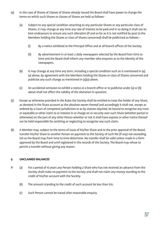- (4) In the case of Shares of classes of Shares already issued the Board shall have power to change the terms on which such Shares or classes of Shares are held as follows -
	- (a) Subject to any special condition attaching to any particular Shares or any particular class of Shares, it may change at any time any rate of interest to be paid and in so doing it shall use its best endeavours to ensure any such alteration (if and so far as it is not notified by post to the Members holding the Shares or class of Shares concerned) shall be publicised as follows –
		- (i) By a notice exhibited at the Principal Office and at all branch offices of the Society.
		- (ii) By advertisement in at least 2 daily newspapers selected by the Board from time to time and the Board shall inform any member who enquires as to the identity of the newspapers.
	- (b) It may change at any time any term, including a special condition such as is mentioned in (4) (a) above, by agreement with the Members holding the Shares or class of Shares concerned and publicise any such change as mentioned in (4)(a) above.
	- (c) An accidental omission to exhibit a notice at a branch office or to publicise under (a) or (b) above shall not affect the validity of the alteration in question.
- (5) Except as otherwise provided in the Rules the Society shall be entitled to treat the holder of any Share, as denoted in the Share account as the absolute owner thereof and accordingly it shall not, except as ordered by a Court of competent jurisdiction or as by statute required, be bound to recognise any trust or equitable or other claim to or interest in or charge on or security over such Share (whether partial or otherwise) on the part of any other Person whether or not it shall have express or other notice thereof nor be held responsible for omitting or neglecting to recognise any such claim.
- (8) A Member may, subject to the terms of issue of his/her Share and to the prior approval of the Board, transfer his/her Share to another Person on payment to the Society of such fee (if any) not exceeding £10 as the Board may from time to time determine. No transfer shall be valid unless made in a form approved by the Board and until registered in the records of the Society. The Board may refuse to permit a transfer without giving any reason.

#### **9. UNCLAIMED BALANCES**

- If- (a) For a period of 10 years any Person holding a Share who has not received an advance from the Society shall make no payment to the Society and shall not claim any money standing to the credit of his/her account with the Society.
	- (b) The amount standing to the credit of such account be less than £10.
	- (c) Such Person cannot be traced after reasonable enquiry.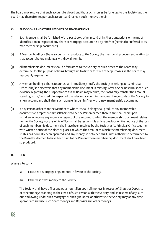The Board may resolve that such account be closed and that such monies be forfeited to the Society but the Board may thereafter reopen such account and recredit such moneys therein.

#### **10. PASSBOOKS AND OTHER RECORDS OF TRANSACTIONS**

- (1) Each Member shall be furnished with a passbook, other record of his/her transactions or means of identification in respect of any Share or Mortgage account held by him/her (hereinafter referred to as "the membership document").
- (2) A Member holding a Share account shall produce to the Society the membership document relating to that account before making a withdrawal from it.
- (3) All membership documents shall be forwarded to the Society, at such times as the Board may determine, for the purpose of being brought up to date or for such other purposes as the Board may reasonably require them.
- (4) A Member holding a Share account shall immediately notify the Society in writing at its Principal Office if he/she discovers that any membership document is missing. After he/she has furnished such evidence regarding the disappearance as the Board may require, the Board may transfer the amount standing to his/her credit in respect of the relevant account in the accounting records of the Society to a new account and shall after such transfer issue him/her with a new membership document.
- (5) If any Person other than the Member to whom it shall belong shall produce any membership document and represent himself/herself to be the Person named therein and shall thereupon withdraw or receive any money in respect of the account to which the membership document relates neither the Society nor any of its officers shall be responsible unless previous written notice of the loss of such membership document shall have been received by the Society at its Principal Office together with written notice of the place or places at which the account to which the membership document relates has normally been operated, and any money so obtained shall unless otherwise determined by the Board be deemed to have been paid to the Person whose membership document shall have been so produced.

#### **11. LIEN**

Where a Person –

- (a) Executes a Mortgage or guarantee in favour of the Society.
- (b) Otherwise owes money to the Society.

The Society shall have a first and paramount lien upon all moneys in respect of Shares or Deposits or other moneys standing to the credit of such Person with the Society, and, in respect of any sum due and owing under such Mortgage or such guarantee or otherwise, the Society may at any time appropriate and use such Share moneys and Deposits and other moneys -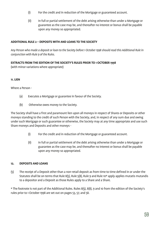- (i) For the credit and in reduction of the Mortgage or guaranteed account.
- (ii) In full or partial settlement of the debt arising otherwise than under a Mortgage or guarantee as the case may be, and thereafter no interest or bonus shall be payable upon any money so appropriated.

#### **ADDITIONAL RULE 2 – DEPOSITS WITH AND LOANS TO THE SOCIETY**

*Any Person who made a deposit or loan to the Society before 1 October 1998 should read this Additional Rule in conjunction with Rule 9 of the Rules.*

#### **EXTRACTS FROM THE EDITION OF THE SOCIETY'S RULES PRIOR TO 1 OCTOBER 1998**

(with minor variations where appropriate)

#### **11. LIEN**

Where a Person -

- (a) Executes a Mortgage or guarantee in favour of the Society.
- (b) Otherwise owes money to the Society.

The Society shall have a first and paramount lien upon all moneys in respect of Shares or Deposits or other moneys standing to the credit of such Person with the Society, and, in respect of any sum due and owing under such Mortgage or such guarantee or otherwise, the Society may at any time appropriate and use such Share moneys and Deposits and other moneys -

- (i) For the credit and in reduction of the Mortgage or guaranteed account.
- (ii) In full or partial settlement of the debt arising otherwise than under a Mortgage or guarantee as the case may be, and thereafter no interest or bonus shall be payable upon any money so appropriated.

#### **12. DEPOSITS AND LOANS**

(5) The receipt of a Deposit other than a non-retail deposit as from time to time defined in or under the Statutes shall be on terms that Rule 8(5), Rule 5(8), Rule 9 and Rule 10\* apply applies mutatis mutandis to a depositor and a Deposit as those Rules apply to a Share and a Share.

\* The footnote is not part of the Additional Rules. Rules 8(5), 8(8), 9 and 10 from the edition of the Society's rules prior to 1 October 1998 are set out on pages 53, 57, and 58.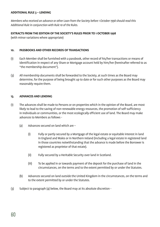#### **ADDITIONAL RULE 3 – LENDING**

*Members who received an advance or other Loan from the Society before 1 October 1998 should read this Additional Rule in conjunction with Rule 10 of the Rules.*

#### **EXTRACTS FROM THE EDITION OF THE SOCIETY'S RULES PRIOR TO 1 OCTOBER 1998**

(with minor variations where appropriate)

#### **10. PASSBOOKS AND OTHER RECORDS OF TRANSACTIONS**

- (1) Each Member shall be furnished with a passbook, other record of his/her transactions or means of identification in respect of any Share or Mortgage account held by him/her (hereinafter referred to as "the membership document").
- (3) All membership documents shall be forwarded to the Society, at such times as the Board may determine, for the purpose of being brought up to date or for such other purposes as the Board may reasonably require them.

#### **13. ADVANCES AND LENDING**

- (1) The advances shall be made to Persons or on properties which in the opinion of the Board, are most likely to lead to the saving of non-renewable energy resources, the promotion of self-sufficiency in Individuals or communities, or the most ecologically efficient use of land. The Board may make advances to Members as follows -
	- (a) Advances secured on land which are
		- (i) Fully or partly secured by a Mortgage of the legal estate or equitable interest in land in England and Wales or in Northern Ireland (including a legal estate in registered land in those countries notwithstanding that the advance is made before the Borrower is registered as proprietor of that estate).
		- (ii) Fully secured by a Heritable Security over land in Scotland.
		- (iii) To be applied in or towards payment of the deposit for the purchase of land in the circumstances, on the terms and to the extent permitted by or under the Statutes.
	- (b) Advances secured on land outside the United Kingdom in the circumstances, on the terms and to the extent permitted by or under the Statutes.
- (3) Subject to paragraph (4) below, the Board may at its absolute discretion -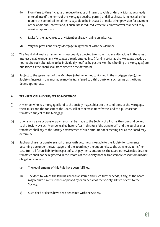- (b) From time to time increase or reduce the rate of interest payable under any Mortgage already entered into (if the terms of the Mortgage deed so permit) and, if such rate is increased, either require the periodical instalments payable to be increased or make other provision for payment of the additional interest and, if such rate is reduced, effect relief in whatever manner it may consider appropriate.
- (c) Make further advances to any Member already having an advance.
- (d) Vary the provisions of any Mortgage in agreement with the Member.
- (4) The Board shall make arrangements reasonably expected to ensure that any alterations in the rates of interest payable under any Mortgages already entered into (if and in so far as the Mortgage deeds do not require such alterations to be individually notified by post to Members holding the Mortgages) are publicised as the Board shall from time to time determine.
- (5) Subject to the agreement of the Members (whether or not contained in the mortgage deed), the Society's interest in any mortgage may be transferred to a third party on such terms as the Board deems appropriate.

#### **14. TRANSFER OF LAND SUBJECT TO MORTGAGE**

- (1) A Member who has mortgaged land to the Society may, subject to the conditions of the Mortgage, these Rules and the consent of the Board, sell or otherwise transfer the land to a purchaser or transferee subject to the Mortgage.
- (2) Upon such a sale or transfer payment shall be made to the Society of all sums then due and owing to the Society by such Member (called hereinafter in this Rule "the transferor") and the purchaser or transferee shall pay to the Society a transfer fee of such amount not exceeding £20 as the Board may determine.
- (3) Such purchaser or transferee shall thenceforth become answerable to the Society for payments becoming due under the Mortgage, and the Board may thereupon release the transferor, at his/her cost, from all future liability in respect of such payments but, unless the Board otherwise decides, the transferee shall not be registered in the records of the Society nor the transferor released from his/her obligations unless -
	- (a) The requirements of this Rule have been fulfilled.
	- (b) The deed by which the land has been transferred and such further deeds, if any, as the Board may require have first been approved by or on behalf of the Society, all free of cost to the Society.
	- (c) Such deed or deeds have been deposited with the Society.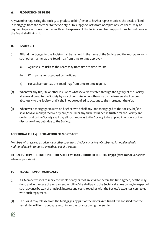#### **16. PRODUCTION OF DEEDS**

Any Member requesting the Society to produce to him/her or to his/her representatives the deeds of land in mortgage from the Member to the Society, or to supply extracts from or copies of such deeds, may be required to pay in connection therewith such expenses of the Society and to comply with such conditions as the Board shall think fit.

#### **17. INSURANCE**

- (1) All land mortgaged to the Society shall be insured in the name of the Society and the mortgagor or in such other manner as the Board may from time to time approve -
	- (a) Against such risks as the Board may from time to time require.
	- (b) With an insurer approved by the Board.
	- (c) For such amount as the Board may from time to time require.
- (2) Whenever any fire, life or other insurance whatsoever is effected through the agency of the Society, all sums allowed to the Society by way of commission or otherwise by the insurers shall belong absolutely to the Society, and it shall not be required to account to the mortgagor therefor.
- (3) Whenever a mortgagor insures on his/her own behalf any land mortgaged to the Society, he/she shall hold all moneys received by him/her under any such insurance as trustee for the Society and on demand by the Society shall pay all such moneys to the Society to be applied in or towards the discharge of any debt due to the Society.

#### **ADDITIONAL RULE 4 – REDEMPTION OF MORTGAGES**

*Members who received an advance or other Loan from the Society before 1 October 1998 should read this Additional Rule in conjunction with Rule 11 of the Rules.*

#### **EXTRACTS FROM THE EDITION OF THE SOCIETY'S RULES PRIOR TO 1 OCTOBER 1998 (with minor variations** where appropriate)

#### **15. REDEMPTION OF MORTGAGES**

- (1) If a Member wishes to repay the whole or any part of an advance before the time agreed, he/she may do so and in the case of a repayment in full he/she shall pay to the Society all sums owing in respect of such advance by way of principal, interest and costs, together with the Society's expenses connected with such repayment.
- (2) The Board may release from the Mortgage any part of the mortgaged land if it is satisfied that the remainder will form adequate security for the balance owing thereunder.